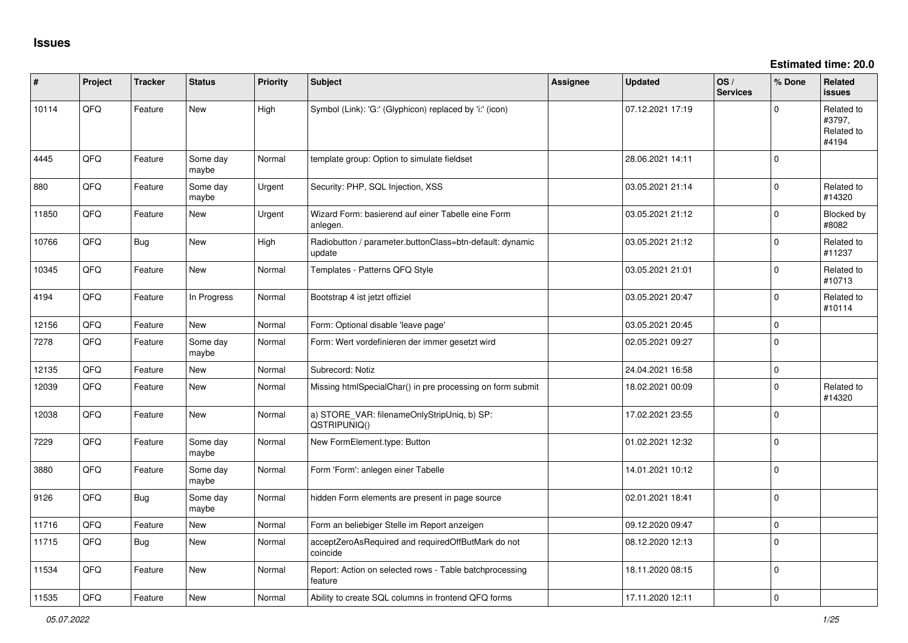**Estimated time: 20.0**

| #     | Project | <b>Tracker</b> | <b>Status</b>     | <b>Priority</b> | <b>Subject</b>                                                     | <b>Assignee</b> | <b>Updated</b>   | OS/<br><b>Services</b> | % Done       | <b>Related</b><br><b>issues</b>             |
|-------|---------|----------------|-------------------|-----------------|--------------------------------------------------------------------|-----------------|------------------|------------------------|--------------|---------------------------------------------|
| 10114 | QFQ     | Feature        | New               | High            | Symbol (Link): 'G:' (Glyphicon) replaced by 'i:' (icon)            |                 | 07.12.2021 17:19 |                        | 0            | Related to<br>#3797,<br>Related to<br>#4194 |
| 4445  | QFQ     | Feature        | Some day<br>maybe | Normal          | template group: Option to simulate fieldset                        |                 | 28.06.2021 14:11 |                        | $\mathbf 0$  |                                             |
| 880   | QFQ     | Feature        | Some day<br>maybe | Urgent          | Security: PHP, SQL Injection, XSS                                  |                 | 03.05.2021 21:14 |                        | $\mathbf{0}$ | Related to<br>#14320                        |
| 11850 | QFQ     | Feature        | New               | Urgent          | Wizard Form: basierend auf einer Tabelle eine Form<br>anlegen.     |                 | 03.05.2021 21:12 |                        | 0            | Blocked by<br>#8082                         |
| 10766 | QFQ     | <b>Bug</b>     | New               | High            | Radiobutton / parameter.buttonClass=btn-default: dynamic<br>update |                 | 03.05.2021 21:12 |                        | 0            | Related to<br>#11237                        |
| 10345 | QFQ     | Feature        | New               | Normal          | Templates - Patterns QFQ Style                                     |                 | 03.05.2021 21:01 |                        | 0            | Related to<br>#10713                        |
| 4194  | QFQ     | Feature        | In Progress       | Normal          | Bootstrap 4 ist jetzt offiziel                                     |                 | 03.05.2021 20:47 |                        | 0            | Related to<br>#10114                        |
| 12156 | QFQ     | Feature        | <b>New</b>        | Normal          | Form: Optional disable 'leave page'                                |                 | 03.05.2021 20:45 |                        | $\mathsf{O}$ |                                             |
| 7278  | QFQ     | Feature        | Some day<br>maybe | Normal          | Form: Wert vordefinieren der immer gesetzt wird                    |                 | 02.05.2021 09:27 |                        | $\mathbf 0$  |                                             |
| 12135 | QFQ     | Feature        | <b>New</b>        | Normal          | Subrecord: Notiz                                                   |                 | 24.04.2021 16:58 |                        | $\mathbf 0$  |                                             |
| 12039 | QFQ     | Feature        | New               | Normal          | Missing htmlSpecialChar() in pre processing on form submit         |                 | 18.02.2021 00:09 |                        | 0            | Related to<br>#14320                        |
| 12038 | QFQ     | Feature        | New               | Normal          | a) STORE_VAR: filenameOnlyStripUniq, b) SP:<br>QSTRIPUNIQ()        |                 | 17.02.2021 23:55 |                        | 0            |                                             |
| 7229  | QFQ     | Feature        | Some day<br>maybe | Normal          | New FormElement.type: Button                                       |                 | 01.02.2021 12:32 |                        | $\mathbf 0$  |                                             |
| 3880  | QFQ     | Feature        | Some day<br>maybe | Normal          | Form 'Form': anlegen einer Tabelle                                 |                 | 14.01.2021 10:12 |                        | $\mathsf{O}$ |                                             |
| 9126  | QFQ     | Bug            | Some day<br>maybe | Normal          | hidden Form elements are present in page source                    |                 | 02.01.2021 18:41 |                        | $\mathbf{0}$ |                                             |
| 11716 | QFQ     | Feature        | <b>New</b>        | Normal          | Form an beliebiger Stelle im Report anzeigen                       |                 | 09.12.2020 09:47 |                        | $\mathsf{O}$ |                                             |
| 11715 | QFQ     | <b>Bug</b>     | <b>New</b>        | Normal          | acceptZeroAsRequired and requiredOffButMark do not<br>coincide     |                 | 08.12.2020 12:13 |                        | $\mathbf 0$  |                                             |
| 11534 | QFQ     | Feature        | New               | Normal          | Report: Action on selected rows - Table batchprocessing<br>feature |                 | 18.11.2020 08:15 |                        | 0            |                                             |
| 11535 | QFQ     | Feature        | <b>New</b>        | Normal          | Ability to create SQL columns in frontend QFQ forms                |                 | 17.11.2020 12:11 |                        | $\mathbf 0$  |                                             |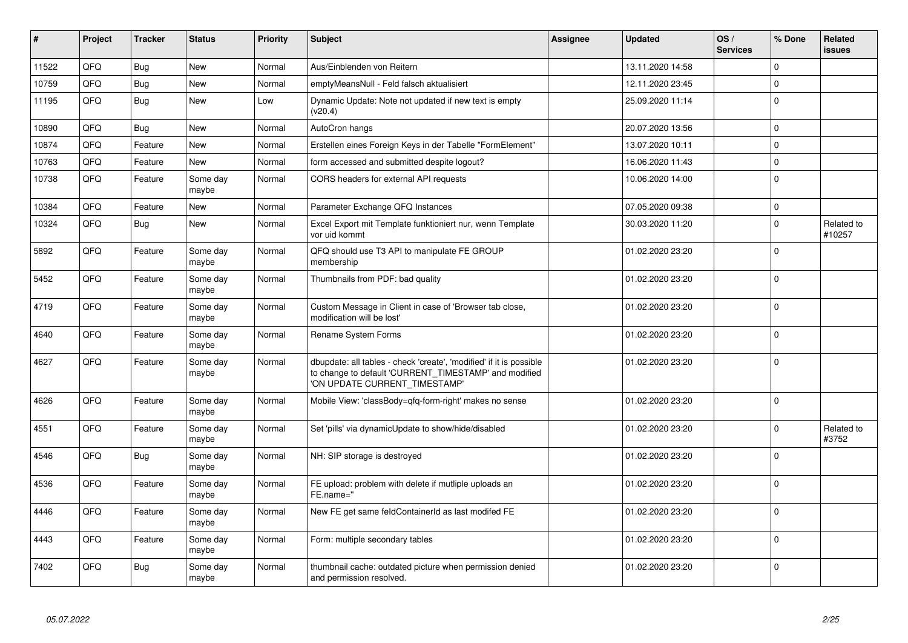| #     | Project | <b>Tracker</b> | <b>Status</b>     | <b>Priority</b> | <b>Subject</b>                                                                                                                                                | Assignee | <b>Updated</b>   | OS/<br><b>Services</b> | % Done       | Related<br>issues    |
|-------|---------|----------------|-------------------|-----------------|---------------------------------------------------------------------------------------------------------------------------------------------------------------|----------|------------------|------------------------|--------------|----------------------|
| 11522 | QFQ     | Bug            | <b>New</b>        | Normal          | Aus/Einblenden von Reitern                                                                                                                                    |          | 13.11.2020 14:58 |                        | $\mathbf 0$  |                      |
| 10759 | QFQ     | Bug            | New               | Normal          | emptyMeansNull - Feld falsch aktualisiert                                                                                                                     |          | 12.11.2020 23:45 |                        | $\Omega$     |                      |
| 11195 | QFQ     | Bug            | <b>New</b>        | Low             | Dynamic Update: Note not updated if new text is empty<br>(v20.4)                                                                                              |          | 25.09.2020 11:14 |                        | $\mathbf 0$  |                      |
| 10890 | QFQ     | Bug            | New               | Normal          | AutoCron hangs                                                                                                                                                |          | 20.07.2020 13:56 |                        | $\Omega$     |                      |
| 10874 | QFQ     | Feature        | <b>New</b>        | Normal          | Erstellen eines Foreign Keys in der Tabelle "FormElement"                                                                                                     |          | 13.07.2020 10:11 |                        | $\mathbf 0$  |                      |
| 10763 | QFQ     | Feature        | <b>New</b>        | Normal          | form accessed and submitted despite logout?                                                                                                                   |          | 16.06.2020 11:43 |                        | $\Omega$     |                      |
| 10738 | QFQ     | Feature        | Some day<br>maybe | Normal          | CORS headers for external API requests                                                                                                                        |          | 10.06.2020 14:00 |                        | $\mathbf 0$  |                      |
| 10384 | QFQ     | Feature        | <b>New</b>        | Normal          | Parameter Exchange QFQ Instances                                                                                                                              |          | 07.05.2020 09:38 |                        | $\mathbf 0$  |                      |
| 10324 | QFQ     | <b>Bug</b>     | New               | Normal          | Excel Export mit Template funktioniert nur, wenn Template<br>vor uid kommt                                                                                    |          | 30.03.2020 11:20 |                        | $\mathbf 0$  | Related to<br>#10257 |
| 5892  | QFQ     | Feature        | Some day<br>maybe | Normal          | QFQ should use T3 API to manipulate FE GROUP<br>membership                                                                                                    |          | 01.02.2020 23:20 |                        | $\mathbf 0$  |                      |
| 5452  | QFQ     | Feature        | Some day<br>maybe | Normal          | Thumbnails from PDF: bad quality                                                                                                                              |          | 01.02.2020 23:20 |                        | $\Omega$     |                      |
| 4719  | QFQ     | Feature        | Some day<br>maybe | Normal          | Custom Message in Client in case of 'Browser tab close,<br>modification will be lost'                                                                         |          | 01.02.2020 23:20 |                        | $\Omega$     |                      |
| 4640  | QFQ     | Feature        | Some day<br>maybe | Normal          | Rename System Forms                                                                                                                                           |          | 01.02.2020 23:20 |                        | $\Omega$     |                      |
| 4627  | QFQ     | Feature        | Some day<br>maybe | Normal          | dbupdate: all tables - check 'create', 'modified' if it is possible<br>to change to default 'CURRENT_TIMESTAMP' and modified<br>'ON UPDATE CURRENT TIMESTAMP' |          | 01.02.2020 23:20 |                        | $\Omega$     |                      |
| 4626  | QFQ     | Feature        | Some day<br>maybe | Normal          | Mobile View: 'classBody=qfq-form-right' makes no sense                                                                                                        |          | 01.02.2020 23:20 |                        | $\Omega$     |                      |
| 4551  | QFQ     | Feature        | Some day<br>maybe | Normal          | Set 'pills' via dynamicUpdate to show/hide/disabled                                                                                                           |          | 01.02.2020 23:20 |                        | $\mathbf 0$  | Related to<br>#3752  |
| 4546  | QFQ     | Bug            | Some day<br>maybe | Normal          | NH: SIP storage is destroyed                                                                                                                                  |          | 01.02.2020 23:20 |                        | $\Omega$     |                      |
| 4536  | QFQ     | Feature        | Some day<br>maybe | Normal          | FE upload: problem with delete if mutliple uploads an<br>FE.name="                                                                                            |          | 01.02.2020 23:20 |                        | $\Omega$     |                      |
| 4446  | QFQ     | Feature        | Some day<br>maybe | Normal          | New FE get same feldContainerId as last modifed FE                                                                                                            |          | 01.02.2020 23:20 |                        | $\mathbf{0}$ |                      |
| 4443  | QFQ     | Feature        | Some day<br>maybe | Normal          | Form: multiple secondary tables                                                                                                                               |          | 01.02.2020 23:20 |                        | $\Omega$     |                      |
| 7402  | QFQ     | Bug            | Some day<br>maybe | Normal          | thumbnail cache: outdated picture when permission denied<br>and permission resolved.                                                                          |          | 01.02.2020 23:20 |                        | $\Omega$     |                      |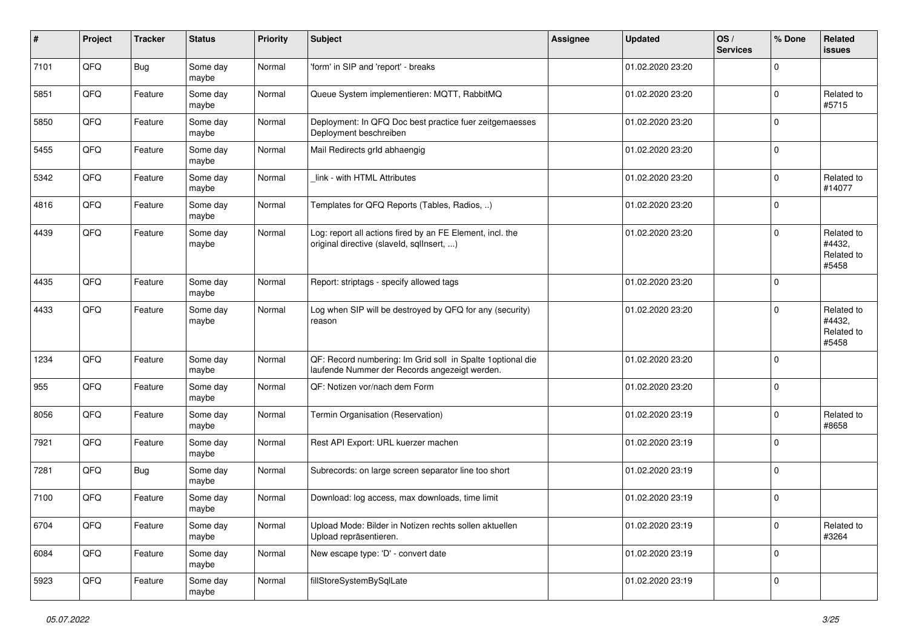| $\sharp$ | Project | <b>Tracker</b> | <b>Status</b>     | <b>Priority</b> | <b>Subject</b>                                                                                               | Assignee | <b>Updated</b>   | OS/<br><b>Services</b> | % Done       | Related<br>issues                           |
|----------|---------|----------------|-------------------|-----------------|--------------------------------------------------------------------------------------------------------------|----------|------------------|------------------------|--------------|---------------------------------------------|
| 7101     | QFQ     | <b>Bug</b>     | Some day<br>maybe | Normal          | 'form' in SIP and 'report' - breaks                                                                          |          | 01.02.2020 23:20 |                        | 0            |                                             |
| 5851     | QFQ     | Feature        | Some day<br>maybe | Normal          | Queue System implementieren: MQTT, RabbitMQ                                                                  |          | 01.02.2020 23:20 |                        | $\Omega$     | Related to<br>#5715                         |
| 5850     | QFQ     | Feature        | Some day<br>maybe | Normal          | Deployment: In QFQ Doc best practice fuer zeitgemaesses<br>Deployment beschreiben                            |          | 01.02.2020 23:20 |                        | 0            |                                             |
| 5455     | QFQ     | Feature        | Some day<br>maybe | Normal          | Mail Redirects grld abhaengig                                                                                |          | 01.02.2020 23:20 |                        | $\mathbf{0}$ |                                             |
| 5342     | QFQ     | Feature        | Some day<br>maybe | Normal          | link - with HTML Attributes                                                                                  |          | 01.02.2020 23:20 |                        | $\Omega$     | Related to<br>#14077                        |
| 4816     | QFQ     | Feature        | Some day<br>maybe | Normal          | Templates for QFQ Reports (Tables, Radios, )                                                                 |          | 01.02.2020 23:20 |                        | $\Omega$     |                                             |
| 4439     | QFQ     | Feature        | Some day<br>maybe | Normal          | Log: report all actions fired by an FE Element, incl. the<br>original directive (slaveld, sqlInsert, )       |          | 01.02.2020 23:20 |                        | 0            | Related to<br>#4432,<br>Related to<br>#5458 |
| 4435     | QFQ     | Feature        | Some day<br>maybe | Normal          | Report: striptags - specify allowed tags                                                                     |          | 01.02.2020 23:20 |                        | $\Omega$     |                                             |
| 4433     | QFQ     | Feature        | Some day<br>maybe | Normal          | Log when SIP will be destroyed by QFQ for any (security)<br>reason                                           |          | 01.02.2020 23:20 |                        | 0            | Related to<br>#4432,<br>Related to<br>#5458 |
| 1234     | QFQ     | Feature        | Some day<br>maybe | Normal          | QF: Record numbering: Im Grid soll in Spalte 1 optional die<br>laufende Nummer der Records angezeigt werden. |          | 01.02.2020 23:20 |                        | $\Omega$     |                                             |
| 955      | QFQ     | Feature        | Some day<br>maybe | Normal          | QF: Notizen vor/nach dem Form                                                                                |          | 01.02.2020 23:20 |                        | $\Omega$     |                                             |
| 8056     | QFQ     | Feature        | Some day<br>maybe | Normal          | Termin Organisation (Reservation)                                                                            |          | 01.02.2020 23:19 |                        | $\Omega$     | Related to<br>#8658                         |
| 7921     | QFQ     | Feature        | Some day<br>maybe | Normal          | Rest API Export: URL kuerzer machen                                                                          |          | 01.02.2020 23:19 |                        | $\mathbf{0}$ |                                             |
| 7281     | QFQ     | <b>Bug</b>     | Some day<br>maybe | Normal          | Subrecords: on large screen separator line too short                                                         |          | 01.02.2020 23:19 |                        | $\mathbf{0}$ |                                             |
| 7100     | QFQ     | Feature        | Some day<br>maybe | Normal          | Download: log access, max downloads, time limit                                                              |          | 01.02.2020 23:19 |                        | 0            |                                             |
| 6704     | QFQ     | Feature        | Some day<br>maybe | Normal          | Upload Mode: Bilder in Notizen rechts sollen aktuellen<br>Upload repräsentieren.                             |          | 01.02.2020 23:19 |                        | $\mathbf 0$  | Related to<br>#3264                         |
| 6084     | QFQ     | Feature        | Some day<br>maybe | Normal          | New escape type: 'D' - convert date                                                                          |          | 01.02.2020 23:19 |                        | $\mathbf{0}$ |                                             |
| 5923     | QFQ     | Feature        | Some day<br>maybe | Normal          | fillStoreSystemBySqlLate                                                                                     |          | 01.02.2020 23:19 |                        | 0            |                                             |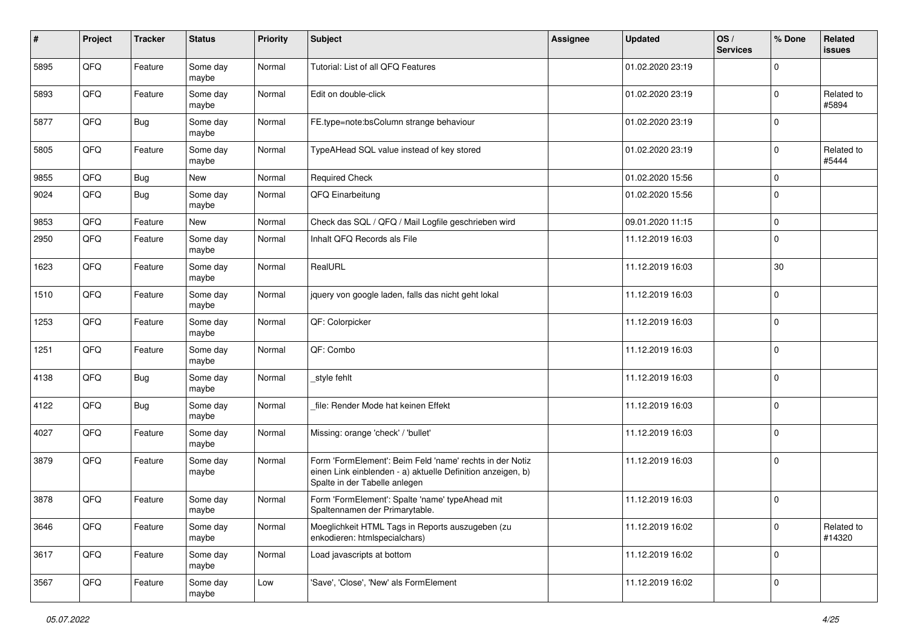| #    | Project | <b>Tracker</b> | <b>Status</b>     | <b>Priority</b> | <b>Subject</b>                                                                                                                                           | <b>Assignee</b> | <b>Updated</b>   | OS/<br><b>Services</b> | % Done         | Related<br>issues    |
|------|---------|----------------|-------------------|-----------------|----------------------------------------------------------------------------------------------------------------------------------------------------------|-----------------|------------------|------------------------|----------------|----------------------|
| 5895 | QFQ     | Feature        | Some day<br>maybe | Normal          | Tutorial: List of all QFQ Features                                                                                                                       |                 | 01.02.2020 23:19 |                        | $\Omega$       |                      |
| 5893 | QFQ     | Feature        | Some day<br>maybe | Normal          | Edit on double-click                                                                                                                                     |                 | 01.02.2020 23:19 |                        | $\mathbf 0$    | Related to<br>#5894  |
| 5877 | QFQ     | <b>Bug</b>     | Some day<br>maybe | Normal          | FE.type=note:bsColumn strange behaviour                                                                                                                  |                 | 01.02.2020 23:19 |                        | $\Omega$       |                      |
| 5805 | QFQ     | Feature        | Some day<br>maybe | Normal          | TypeAHead SQL value instead of key stored                                                                                                                |                 | 01.02.2020 23:19 |                        | $\mathbf 0$    | Related to<br>#5444  |
| 9855 | QFQ     | Bug            | New               | Normal          | <b>Required Check</b>                                                                                                                                    |                 | 01.02.2020 15:56 |                        | $\mathbf{0}$   |                      |
| 9024 | QFQ     | <b>Bug</b>     | Some day<br>maybe | Normal          | QFQ Einarbeitung                                                                                                                                         |                 | 01.02.2020 15:56 |                        | $\Omega$       |                      |
| 9853 | QFQ     | Feature        | New               | Normal          | Check das SQL / QFQ / Mail Logfile geschrieben wird                                                                                                      |                 | 09.01.2020 11:15 |                        | $\mathbf{0}$   |                      |
| 2950 | QFQ     | Feature        | Some day<br>maybe | Normal          | Inhalt QFQ Records als File                                                                                                                              |                 | 11.12.2019 16:03 |                        | $\Omega$       |                      |
| 1623 | QFQ     | Feature        | Some day<br>maybe | Normal          | RealURL                                                                                                                                                  |                 | 11.12.2019 16:03 |                        | 30             |                      |
| 1510 | QFQ     | Feature        | Some day<br>maybe | Normal          | jquery von google laden, falls das nicht geht lokal                                                                                                      |                 | 11.12.2019 16:03 |                        | $\Omega$       |                      |
| 1253 | QFQ     | Feature        | Some day<br>maybe | Normal          | QF: Colorpicker                                                                                                                                          |                 | 11.12.2019 16:03 |                        | $\Omega$       |                      |
| 1251 | QFQ     | Feature        | Some day<br>maybe | Normal          | QF: Combo                                                                                                                                                |                 | 11.12.2019 16:03 |                        | $\Omega$       |                      |
| 4138 | QFQ     | Bug            | Some day<br>maybe | Normal          | _style fehlt                                                                                                                                             |                 | 11.12.2019 16:03 |                        | $\overline{0}$ |                      |
| 4122 | QFQ     | <b>Bug</b>     | Some day<br>maybe | Normal          | file: Render Mode hat keinen Effekt                                                                                                                      |                 | 11.12.2019 16:03 |                        | $\overline{0}$ |                      |
| 4027 | QFQ     | Feature        | Some day<br>maybe | Normal          | Missing: orange 'check' / 'bullet'                                                                                                                       |                 | 11.12.2019 16:03 |                        | $\Omega$       |                      |
| 3879 | QFQ     | Feature        | Some day<br>maybe | Normal          | Form 'FormElement': Beim Feld 'name' rechts in der Notiz<br>einen Link einblenden - a) aktuelle Definition anzeigen, b)<br>Spalte in der Tabelle anlegen |                 | 11.12.2019 16:03 |                        | $\overline{0}$ |                      |
| 3878 | QFQ     | Feature        | Some day<br>maybe | Normal          | Form 'FormElement': Spalte 'name' typeAhead mit<br>Spaltennamen der Primarytable.                                                                        |                 | 11.12.2019 16:03 |                        | $\overline{0}$ |                      |
| 3646 | QFQ     | Feature        | Some day<br>maybe | Normal          | Moeglichkeit HTML Tags in Reports auszugeben (zu<br>enkodieren: htmlspecialchars)                                                                        |                 | 11.12.2019 16:02 |                        | $\mathbf 0$    | Related to<br>#14320 |
| 3617 | QFQ     | Feature        | Some day<br>maybe | Normal          | Load javascripts at bottom                                                                                                                               |                 | 11.12.2019 16:02 |                        | $\overline{0}$ |                      |
| 3567 | QFG     | Feature        | Some day<br>maybe | Low             | 'Save', 'Close', 'New' als FormElement                                                                                                                   |                 | 11.12.2019 16:02 |                        | $\overline{0}$ |                      |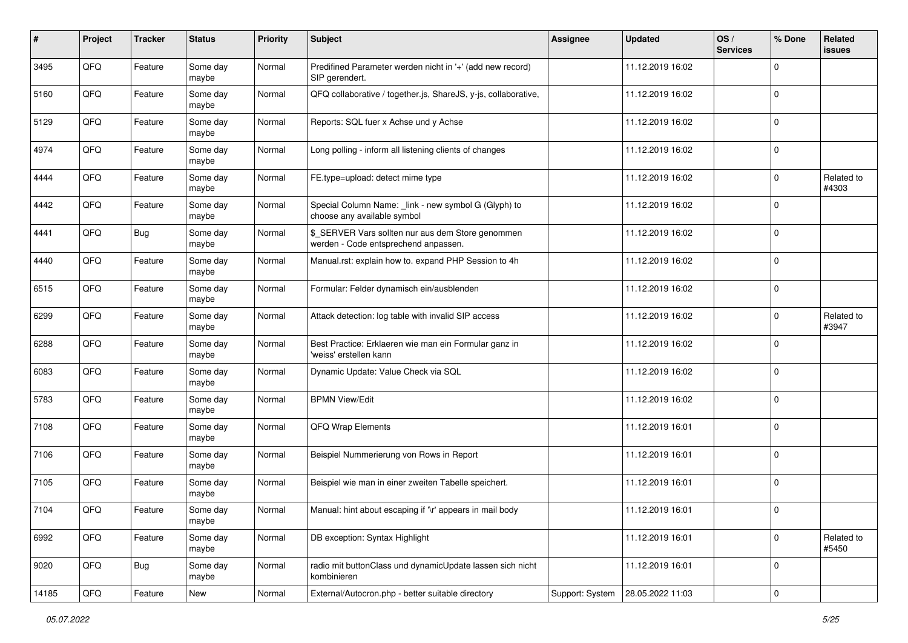| #     | Project | <b>Tracker</b> | <b>Status</b>     | <b>Priority</b> | Subject                                                                                   | <b>Assignee</b> | <b>Updated</b>   | OS/<br><b>Services</b> | % Done         | Related<br>issues   |
|-------|---------|----------------|-------------------|-----------------|-------------------------------------------------------------------------------------------|-----------------|------------------|------------------------|----------------|---------------------|
| 3495  | QFQ     | Feature        | Some day<br>maybe | Normal          | Predifined Parameter werden nicht in '+' (add new record)<br>SIP gerendert.               |                 | 11.12.2019 16:02 |                        | $\Omega$       |                     |
| 5160  | QFQ     | Feature        | Some day<br>maybe | Normal          | QFQ collaborative / together.js, ShareJS, y-js, collaborative,                            |                 | 11.12.2019 16:02 |                        | $\overline{0}$ |                     |
| 5129  | QFQ     | Feature        | Some day<br>maybe | Normal          | Reports: SQL fuer x Achse und y Achse                                                     |                 | 11.12.2019 16:02 |                        | $\Omega$       |                     |
| 4974  | QFQ     | Feature        | Some day<br>maybe | Normal          | Long polling - inform all listening clients of changes                                    |                 | 11.12.2019 16:02 |                        | $\mathbf 0$    |                     |
| 4444  | QFQ     | Feature        | Some day<br>maybe | Normal          | FE.type=upload: detect mime type                                                          |                 | 11.12.2019 16:02 |                        | $\mathbf 0$    | Related to<br>#4303 |
| 4442  | QFQ     | Feature        | Some day<br>maybe | Normal          | Special Column Name: _link - new symbol G (Glyph) to<br>choose any available symbol       |                 | 11.12.2019 16:02 |                        | $\Omega$       |                     |
| 4441  | QFQ     | <b>Bug</b>     | Some day<br>maybe | Normal          | \$_SERVER Vars sollten nur aus dem Store genommen<br>werden - Code entsprechend anpassen. |                 | 11.12.2019 16:02 |                        | $\Omega$       |                     |
| 4440  | QFQ     | Feature        | Some day<br>maybe | Normal          | Manual.rst: explain how to. expand PHP Session to 4h                                      |                 | 11.12.2019 16:02 |                        | $\mathbf 0$    |                     |
| 6515  | QFQ     | Feature        | Some day<br>maybe | Normal          | Formular: Felder dynamisch ein/ausblenden                                                 |                 | 11.12.2019 16:02 |                        | 0              |                     |
| 6299  | QFQ     | Feature        | Some day<br>maybe | Normal          | Attack detection: log table with invalid SIP access                                       |                 | 11.12.2019 16:02 |                        | $\Omega$       | Related to<br>#3947 |
| 6288  | QFQ     | Feature        | Some day<br>maybe | Normal          | Best Practice: Erklaeren wie man ein Formular ganz in<br>'weiss' erstellen kann           |                 | 11.12.2019 16:02 |                        | 0              |                     |
| 6083  | QFQ     | Feature        | Some day<br>maybe | Normal          | Dynamic Update: Value Check via SQL                                                       |                 | 11.12.2019 16:02 |                        | $\Omega$       |                     |
| 5783  | QFQ     | Feature        | Some day<br>maybe | Normal          | <b>BPMN View/Edit</b>                                                                     |                 | 11.12.2019 16:02 |                        | $\Omega$       |                     |
| 7108  | QFQ     | Feature        | Some day<br>maybe | Normal          | QFQ Wrap Elements                                                                         |                 | 11.12.2019 16:01 |                        | $\Omega$       |                     |
| 7106  | QFQ     | Feature        | Some day<br>maybe | Normal          | Beispiel Nummerierung von Rows in Report                                                  |                 | 11.12.2019 16:01 |                        | $\mathbf 0$    |                     |
| 7105  | QFQ     | Feature        | Some day<br>maybe | Normal          | Beispiel wie man in einer zweiten Tabelle speichert.                                      |                 | 11.12.2019 16:01 |                        | 0              |                     |
| 7104  | QFQ     | Feature        | Some day<br>maybe | Normal          | Manual: hint about escaping if '\r' appears in mail body                                  |                 | 11.12.2019 16:01 |                        | 0              |                     |
| 6992  | QFQ     | Feature        | Some day<br>maybe | Normal          | DB exception: Syntax Highlight                                                            |                 | 11.12.2019 16:01 |                        | $\mathbf 0$    | Related to<br>#5450 |
| 9020  | QFQ     | Bug            | Some day<br>maybe | Normal          | radio mit buttonClass und dynamicUpdate lassen sich nicht<br>kombinieren                  |                 | 11.12.2019 16:01 |                        | $\overline{0}$ |                     |
| 14185 | QFQ     | Feature        | New               | Normal          | External/Autocron.php - better suitable directory                                         | Support: System | 28.05.2022 11:03 |                        | $\overline{0}$ |                     |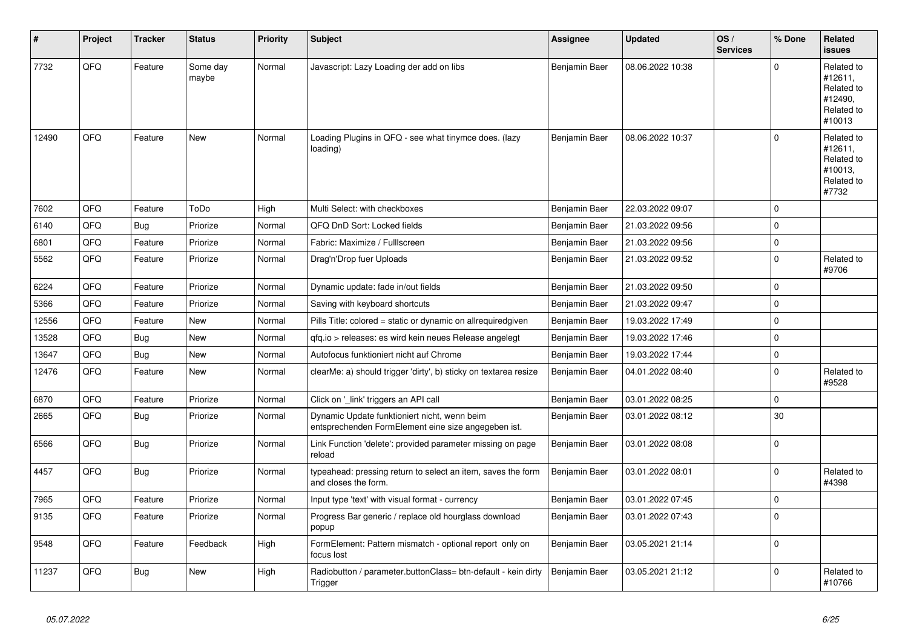| ∦     | Project | <b>Tracker</b> | <b>Status</b>     | <b>Priority</b> | <b>Subject</b>                                                                                      | <b>Assignee</b> | <b>Updated</b>   | OS/<br><b>Services</b> | % Done       | Related<br><b>issues</b>                                               |
|-------|---------|----------------|-------------------|-----------------|-----------------------------------------------------------------------------------------------------|-----------------|------------------|------------------------|--------------|------------------------------------------------------------------------|
| 7732  | QFQ     | Feature        | Some day<br>maybe | Normal          | Javascript: Lazy Loading der add on libs                                                            | Benjamin Baer   | 08.06.2022 10:38 |                        | $\Omega$     | Related to<br>#12611,<br>Related to<br>#12490,<br>Related to<br>#10013 |
| 12490 | QFQ     | Feature        | New               | Normal          | Loading Plugins in QFQ - see what tinymce does. (lazy<br>loading)                                   | Benjamin Baer   | 08.06.2022 10:37 |                        | $\Omega$     | Related to<br>#12611,<br>Related to<br>#10013,<br>Related to<br>#7732  |
| 7602  | QFQ     | Feature        | ToDo              | High            | Multi Select: with checkboxes                                                                       | Benjamin Baer   | 22.03.2022 09:07 |                        | $\mathbf 0$  |                                                                        |
| 6140  | QFQ     | <b>Bug</b>     | Priorize          | Normal          | QFQ DnD Sort: Locked fields                                                                         | Benjamin Baer   | 21.03.2022 09:56 |                        | $\Omega$     |                                                                        |
| 6801  | QFQ     | Feature        | Priorize          | Normal          | Fabric: Maximize / FullIscreen                                                                      | Benjamin Baer   | 21.03.2022 09:56 |                        | $\mathbf{0}$ |                                                                        |
| 5562  | QFQ     | Feature        | Priorize          | Normal          | Drag'n'Drop fuer Uploads                                                                            | Benjamin Baer   | 21.03.2022 09:52 |                        | $\mathbf 0$  | Related to<br>#9706                                                    |
| 6224  | QFQ     | Feature        | Priorize          | Normal          | Dynamic update: fade in/out fields                                                                  | Benjamin Baer   | 21.03.2022 09:50 |                        | $\Omega$     |                                                                        |
| 5366  | QFQ     | Feature        | Priorize          | Normal          | Saving with keyboard shortcuts                                                                      | Benjamin Baer   | 21.03.2022 09:47 |                        | $\mathbf{0}$ |                                                                        |
| 12556 | QFQ     | Feature        | New               | Normal          | Pills Title: colored = static or dynamic on allrequiredgiven                                        | Benjamin Baer   | 19.03.2022 17:49 |                        | $\Omega$     |                                                                        |
| 13528 | QFQ     | Bug            | New               | Normal          | gfg.io > releases: es wird kein neues Release angelegt                                              | Benjamin Baer   | 19.03.2022 17:46 |                        | $\mathbf 0$  |                                                                        |
| 13647 | QFQ     | Bug            | New               | Normal          | Autofocus funktioniert nicht auf Chrome                                                             | Benjamin Baer   | 19.03.2022 17:44 |                        | $\mathbf 0$  |                                                                        |
| 12476 | QFQ     | Feature        | New               | Normal          | clearMe: a) should trigger 'dirty', b) sticky on textarea resize                                    | Benjamin Baer   | 04.01.2022 08:40 |                        | $\Omega$     | Related to<br>#9528                                                    |
| 6870  | QFQ     | Feature        | Priorize          | Normal          | Click on '_link' triggers an API call                                                               | Benjamin Baer   | 03.01.2022 08:25 |                        | $\mathbf{0}$ |                                                                        |
| 2665  | QFQ     | <b>Bug</b>     | Priorize          | Normal          | Dynamic Update funktioniert nicht, wenn beim<br>entsprechenden FormElement eine size angegeben ist. | Benjamin Baer   | 03.01.2022 08:12 |                        | 30           |                                                                        |
| 6566  | QFQ     | Bug            | Priorize          | Normal          | Link Function 'delete': provided parameter missing on page<br>reload                                | Benjamin Baer   | 03.01.2022 08:08 |                        | $\Omega$     |                                                                        |
| 4457  | QFQ     | Bug            | Priorize          | Normal          | typeahead: pressing return to select an item, saves the form<br>and closes the form.                | Benjamin Baer   | 03.01.2022 08:01 |                        | $\Omega$     | Related to<br>#4398                                                    |
| 7965  | QFQ     | Feature        | Priorize          | Normal          | Input type 'text' with visual format - currency                                                     | Benjamin Baer   | 03.01.2022 07:45 |                        | $\mathbf{0}$ |                                                                        |
| 9135  | QFQ     | Feature        | Priorize          | Normal          | Progress Bar generic / replace old hourglass download<br>popup                                      | Benjamin Baer   | 03.01.2022 07:43 |                        | $\Omega$     |                                                                        |
| 9548  | QFQ     | Feature        | Feedback          | High            | FormElement: Pattern mismatch - optional report only on<br>focus lost                               | Benjamin Baer   | 03.05.2021 21:14 |                        | $\Omega$     |                                                                        |
| 11237 | QFQ     | Bug            | <b>New</b>        | High            | Radiobutton / parameter.buttonClass= btn-default - kein dirty<br>Trigger                            | Benjamin Baer   | 03.05.2021 21:12 |                        | $\Omega$     | Related to<br>#10766                                                   |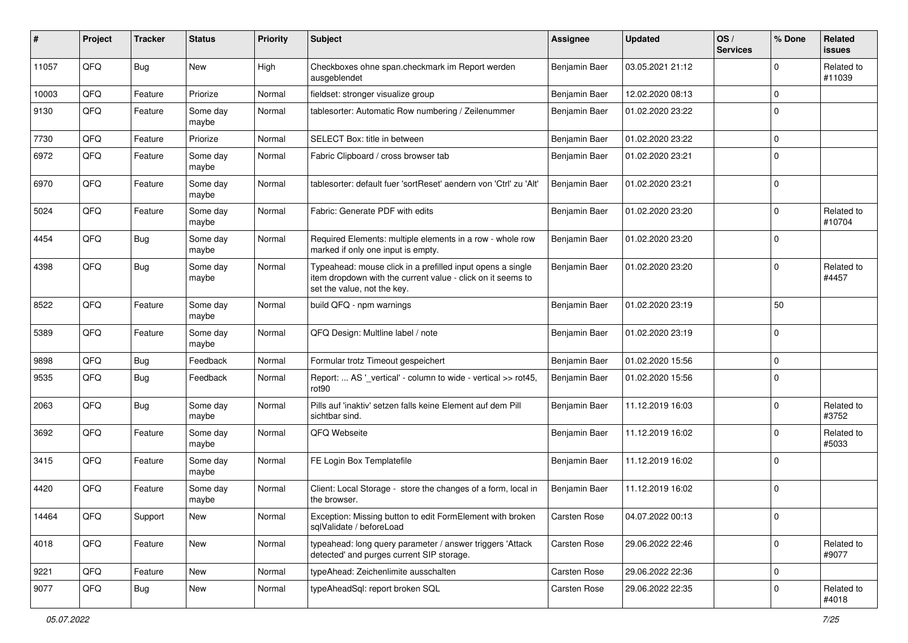| #     | Project | <b>Tracker</b> | <b>Status</b>     | <b>Priority</b> | Subject                                                                                                                                                  | Assignee      | <b>Updated</b>   | OS/<br><b>Services</b> | % Done         | Related<br>issues    |
|-------|---------|----------------|-------------------|-----------------|----------------------------------------------------------------------------------------------------------------------------------------------------------|---------------|------------------|------------------------|----------------|----------------------|
| 11057 | QFQ     | Bug            | <b>New</b>        | High            | Checkboxes ohne span.checkmark im Report werden<br>ausgeblendet                                                                                          | Benjamin Baer | 03.05.2021 21:12 |                        | $\Omega$       | Related to<br>#11039 |
| 10003 | QFQ     | Feature        | Priorize          | Normal          | fieldset: stronger visualize group                                                                                                                       | Benjamin Baer | 12.02.2020 08:13 |                        | $\Omega$       |                      |
| 9130  | QFQ     | Feature        | Some day<br>maybe | Normal          | tablesorter: Automatic Row numbering / Zeilenummer                                                                                                       | Benjamin Baer | 01.02.2020 23:22 |                        | $\Omega$       |                      |
| 7730  | QFQ     | Feature        | Priorize          | Normal          | SELECT Box: title in between                                                                                                                             | Benjamin Baer | 01.02.2020 23:22 |                        | $\Omega$       |                      |
| 6972  | QFQ     | Feature        | Some day<br>maybe | Normal          | Fabric Clipboard / cross browser tab                                                                                                                     | Benjamin Baer | 01.02.2020 23:21 |                        | $\mathbf 0$    |                      |
| 6970  | QFQ     | Feature        | Some day<br>maybe | Normal          | tablesorter: default fuer 'sortReset' aendern von 'Ctrl' zu 'Alt'                                                                                        | Benjamin Baer | 01.02.2020 23:21 |                        | $\overline{0}$ |                      |
| 5024  | QFQ     | Feature        | Some day<br>maybe | Normal          | Fabric: Generate PDF with edits                                                                                                                          | Benjamin Baer | 01.02.2020 23:20 |                        | $\Omega$       | Related to<br>#10704 |
| 4454  | QFQ     | Bug            | Some day<br>maybe | Normal          | Required Elements: multiple elements in a row - whole row<br>marked if only one input is empty.                                                          | Benjamin Baer | 01.02.2020 23:20 |                        | $\Omega$       |                      |
| 4398  | QFQ     | <b>Bug</b>     | Some day<br>maybe | Normal          | Typeahead: mouse click in a prefilled input opens a single<br>item dropdown with the current value - click on it seems to<br>set the value, not the key. | Benjamin Baer | 01.02.2020 23:20 |                        | $\Omega$       | Related to<br>#4457  |
| 8522  | QFQ     | Feature        | Some day<br>maybe | Normal          | build QFQ - npm warnings                                                                                                                                 | Benjamin Baer | 01.02.2020 23:19 |                        | 50             |                      |
| 5389  | QFQ     | Feature        | Some day<br>maybe | Normal          | QFQ Design: Multline label / note                                                                                                                        | Benjamin Baer | 01.02.2020 23:19 |                        | $\Omega$       |                      |
| 9898  | QFQ     | Bug            | Feedback          | Normal          | Formular trotz Timeout gespeichert                                                                                                                       | Benjamin Baer | 01.02.2020 15:56 |                        | $\mathbf 0$    |                      |
| 9535  | QFQ     | <b>Bug</b>     | Feedback          | Normal          | Report:  AS '_vertical' - column to wide - vertical >> rot45,<br>rot90                                                                                   | Benjamin Baer | 01.02.2020 15:56 |                        | $\mathbf 0$    |                      |
| 2063  | QFQ     | <b>Bug</b>     | Some day<br>maybe | Normal          | Pills auf 'inaktiv' setzen falls keine Element auf dem Pill<br>sichtbar sind.                                                                            | Benjamin Baer | 11.12.2019 16:03 |                        | $\Omega$       | Related to<br>#3752  |
| 3692  | QFQ     | Feature        | Some day<br>maybe | Normal          | QFQ Webseite                                                                                                                                             | Benjamin Baer | 11.12.2019 16:02 |                        | $\Omega$       | Related to<br>#5033  |
| 3415  | QFQ     | Feature        | Some day<br>maybe | Normal          | FE Login Box Templatefile                                                                                                                                | Benjamin Baer | 11.12.2019 16:02 |                        | $\Omega$       |                      |
| 4420  | QFQ     | Feature        | Some day<br>maybe | Normal          | Client: Local Storage - store the changes of a form, local in<br>the browser.                                                                            | Benjamin Baer | 11.12.2019 16:02 |                        | 0              |                      |
| 14464 | QFQ     | Support        | <b>New</b>        | Normal          | Exception: Missing button to edit FormElement with broken<br>sqlValidate / beforeLoad                                                                    | Carsten Rose  | 04.07.2022 00:13 |                        | ΙU             |                      |
| 4018  | QFQ     | Feature        | New               | Normal          | typeahead: long query parameter / answer triggers 'Attack<br>detected' and purges current SIP storage.                                                   | Carsten Rose  | 29.06.2022 22:46 |                        | $\overline{0}$ | Related to<br>#9077  |
| 9221  | QFQ     | Feature        | <b>New</b>        | Normal          | typeAhead: Zeichenlimite ausschalten                                                                                                                     | Carsten Rose  | 29.06.2022 22:36 |                        | $\mathbf 0$    |                      |
| 9077  | QFQ     | <b>Bug</b>     | New               | Normal          | typeAheadSql: report broken SQL                                                                                                                          | Carsten Rose  | 29.06.2022 22:35 |                        | $\mathbf 0$    | Related to<br>#4018  |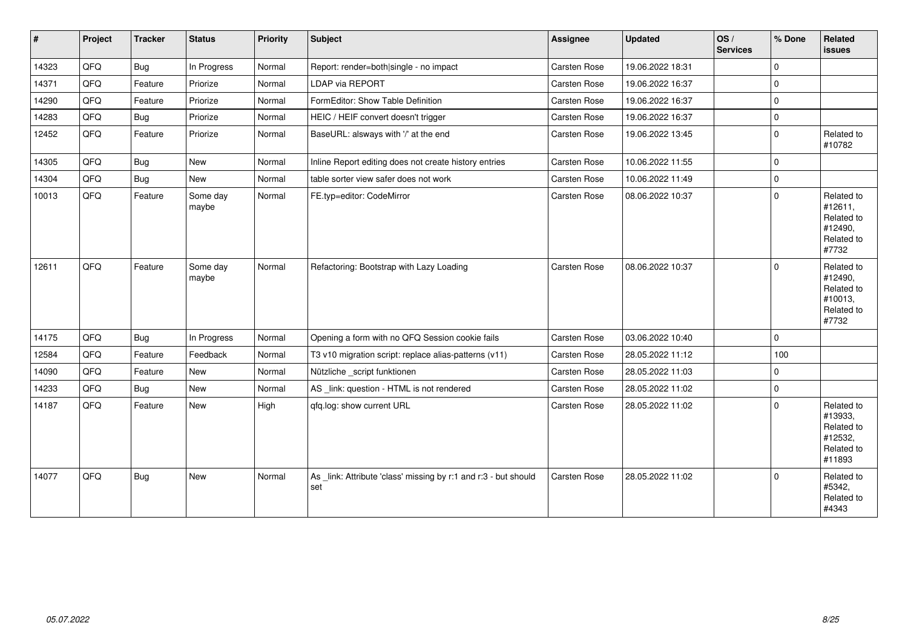| $\vert$ # | Project | <b>Tracker</b> | <b>Status</b>     | <b>Priority</b> | <b>Subject</b>                                                         | Assignee            | Updated          | OS/<br><b>Services</b> | % Done       | Related<br><b>issues</b>                                               |
|-----------|---------|----------------|-------------------|-----------------|------------------------------------------------------------------------|---------------------|------------------|------------------------|--------------|------------------------------------------------------------------------|
| 14323     | QFQ     | <b>Bug</b>     | In Progress       | Normal          | Report: render=both single - no impact                                 | Carsten Rose        | 19.06.2022 18:31 |                        | $\Omega$     |                                                                        |
| 14371     | QFQ     | Feature        | Priorize          | Normal          | LDAP via REPORT                                                        | Carsten Rose        | 19.06.2022 16:37 |                        | $\mathbf{0}$ |                                                                        |
| 14290     | QFQ     | Feature        | Priorize          | Normal          | FormEditor: Show Table Definition                                      | Carsten Rose        | 19.06.2022 16:37 |                        | $\mathbf 0$  |                                                                        |
| 14283     | QFQ     | <b>Bug</b>     | Priorize          | Normal          | HEIC / HEIF convert doesn't trigger                                    | Carsten Rose        | 19.06.2022 16:37 |                        | $\mathbf 0$  |                                                                        |
| 12452     | QFQ     | Feature        | Priorize          | Normal          | BaseURL: alsways with '/' at the end                                   | <b>Carsten Rose</b> | 19.06.2022 13:45 |                        | $\mathbf 0$  | Related to<br>#10782                                                   |
| 14305     | QFQ     | Bug            | New               | Normal          | Inline Report editing does not create history entries                  | <b>Carsten Rose</b> | 10.06.2022 11:55 |                        | $\mathbf 0$  |                                                                        |
| 14304     | QFQ     | <b>Bug</b>     | <b>New</b>        | Normal          | table sorter view safer does not work                                  | <b>Carsten Rose</b> | 10.06.2022 11:49 |                        | $\mathbf{0}$ |                                                                        |
| 10013     | QFQ     | Feature        | Some day<br>maybe | Normal          | FE.typ=editor: CodeMirror                                              | Carsten Rose        | 08.06.2022 10:37 |                        | $\Omega$     | Related to<br>#12611,<br>Related to<br>#12490,<br>Related to<br>#7732  |
| 12611     | QFQ     | Feature        | Some day<br>maybe | Normal          | Refactoring: Bootstrap with Lazy Loading                               | <b>Carsten Rose</b> | 08.06.2022 10:37 |                        | $\Omega$     | Related to<br>#12490,<br>Related to<br>#10013,<br>Related to<br>#7732  |
| 14175     | QFQ     | <b>Bug</b>     | In Progress       | Normal          | Opening a form with no QFQ Session cookie fails                        | Carsten Rose        | 03.06.2022 10:40 |                        | $\mathbf{0}$ |                                                                        |
| 12584     | QFQ     | Feature        | Feedback          | Normal          | T3 v10 migration script: replace alias-patterns (v11)                  | <b>Carsten Rose</b> | 28.05.2022 11:12 |                        | 100          |                                                                        |
| 14090     | QFQ     | Feature        | <b>New</b>        | Normal          | Nützliche _script funktionen                                           | Carsten Rose        | 28.05.2022 11:03 |                        | $\mathbf 0$  |                                                                        |
| 14233     | QFQ     | <b>Bug</b>     | New               | Normal          | AS _link: question - HTML is not rendered                              | Carsten Rose        | 28.05.2022 11:02 |                        | $\mathbf{0}$ |                                                                        |
| 14187     | QFQ     | Feature        | <b>New</b>        | High            | qfq.log: show current URL                                              | <b>Carsten Rose</b> | 28.05.2022 11:02 |                        | $\Omega$     | Related to<br>#13933,<br>Related to<br>#12532,<br>Related to<br>#11893 |
| 14077     | QFQ     | <b>Bug</b>     | New               | Normal          | As _link: Attribute 'class' missing by r:1 and r:3 - but should<br>set | <b>Carsten Rose</b> | 28.05.2022 11:02 |                        | $\mathbf 0$  | Related to<br>#5342,<br>Related to<br>#4343                            |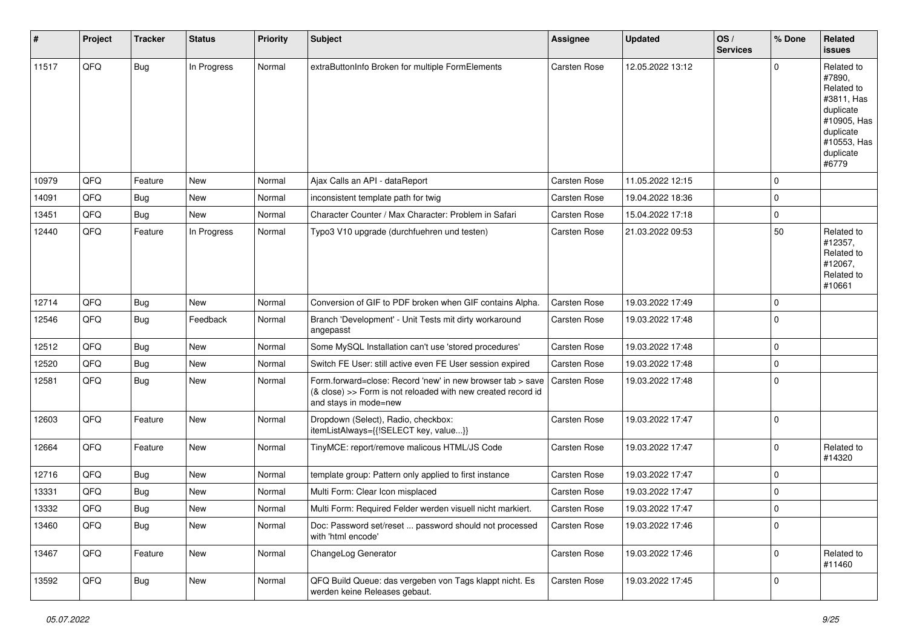| #     | Project | <b>Tracker</b> | <b>Status</b> | <b>Priority</b> | <b>Subject</b>                                                                                                                                      | <b>Assignee</b>     | <b>Updated</b>   | OS/<br><b>Services</b> | % Done      | Related<br><b>issues</b>                                                                                                       |
|-------|---------|----------------|---------------|-----------------|-----------------------------------------------------------------------------------------------------------------------------------------------------|---------------------|------------------|------------------------|-------------|--------------------------------------------------------------------------------------------------------------------------------|
| 11517 | QFQ     | Bug            | In Progress   | Normal          | extraButtonInfo Broken for multiple FormElements                                                                                                    | <b>Carsten Rose</b> | 12.05.2022 13:12 |                        | 0           | Related to<br>#7890,<br>Related to<br>#3811, Has<br>duplicate<br>#10905, Has<br>duplicate<br>#10553, Has<br>duplicate<br>#6779 |
| 10979 | QFQ     | Feature        | <b>New</b>    | Normal          | Ajax Calls an API - dataReport                                                                                                                      | Carsten Rose        | 11.05.2022 12:15 |                        | 0           |                                                                                                                                |
| 14091 | QFQ     | Bug            | <b>New</b>    | Normal          | inconsistent template path for twig                                                                                                                 | <b>Carsten Rose</b> | 19.04.2022 18:36 |                        | 0           |                                                                                                                                |
| 13451 | QFQ     | Bug            | <b>New</b>    | Normal          | Character Counter / Max Character: Problem in Safari                                                                                                | Carsten Rose        | 15.04.2022 17:18 |                        | $\mathbf 0$ |                                                                                                                                |
| 12440 | QFQ     | Feature        | In Progress   | Normal          | Typo3 V10 upgrade (durchfuehren und testen)                                                                                                         | Carsten Rose        | 21.03.2022 09:53 |                        | 50          | Related to<br>#12357,<br>Related to<br>#12067,<br>Related to<br>#10661                                                         |
| 12714 | QFQ     | Bug            | New           | Normal          | Conversion of GIF to PDF broken when GIF contains Alpha.                                                                                            | <b>Carsten Rose</b> | 19.03.2022 17:49 |                        | 0           |                                                                                                                                |
| 12546 | QFQ     | Bug            | Feedback      | Normal          | Branch 'Development' - Unit Tests mit dirty workaround<br>angepasst                                                                                 | Carsten Rose        | 19.03.2022 17:48 |                        | $\Omega$    |                                                                                                                                |
| 12512 | QFQ     | Bug            | <b>New</b>    | Normal          | Some MySQL Installation can't use 'stored procedures'                                                                                               | Carsten Rose        | 19.03.2022 17:48 |                        | $\mathbf 0$ |                                                                                                                                |
| 12520 | QFQ     | Bug            | <b>New</b>    | Normal          | Switch FE User: still active even FE User session expired                                                                                           | <b>Carsten Rose</b> | 19.03.2022 17:48 |                        | $\mathbf 0$ |                                                                                                                                |
| 12581 | QFQ     | Bug            | New           | Normal          | Form.forward=close: Record 'new' in new browser tab > save<br>(& close) >> Form is not reloaded with new created record id<br>and stays in mode=new | <b>Carsten Rose</b> | 19.03.2022 17:48 |                        | $\Omega$    |                                                                                                                                |
| 12603 | QFQ     | Feature        | <b>New</b>    | Normal          | Dropdown (Select), Radio, checkbox:<br>itemListAlways={{!SELECT key, value}}                                                                        | Carsten Rose        | 19.03.2022 17:47 |                        | 0           |                                                                                                                                |
| 12664 | QFQ     | Feature        | <b>New</b>    | Normal          | TinyMCE: report/remove malicous HTML/JS Code                                                                                                        | Carsten Rose        | 19.03.2022 17:47 |                        | 0           | Related to<br>#14320                                                                                                           |
| 12716 | QFQ     | Bug            | New           | Normal          | template group: Pattern only applied to first instance                                                                                              | Carsten Rose        | 19.03.2022 17:47 |                        | $\mathbf 0$ |                                                                                                                                |
| 13331 | QFQ     | <b>Bug</b>     | New           | Normal          | Multi Form: Clear Icon misplaced                                                                                                                    | <b>Carsten Rose</b> | 19.03.2022 17:47 |                        | 0           |                                                                                                                                |
| 13332 | QFQ     | <b>Bug</b>     | New           | Normal          | Multi Form: Required Felder werden visuell nicht markiert.                                                                                          | <b>Carsten Rose</b> | 19.03.2022 17:47 |                        | $\Omega$    |                                                                                                                                |
| 13460 | QFQ     | <b>Bug</b>     | New           | Normal          | Doc: Password set/reset  password should not processed<br>with 'html encode'                                                                        | Carsten Rose        | 19.03.2022 17:46 |                        | $\mathbf 0$ |                                                                                                                                |
| 13467 | QFQ     | Feature        | New           | Normal          | ChangeLog Generator                                                                                                                                 | Carsten Rose        | 19.03.2022 17:46 |                        | $\mathbf 0$ | Related to<br>#11460                                                                                                           |
| 13592 | QFQ     | Bug            | New           | Normal          | QFQ Build Queue: das vergeben von Tags klappt nicht. Es<br>werden keine Releases gebaut.                                                            | Carsten Rose        | 19.03.2022 17:45 |                        | 0           |                                                                                                                                |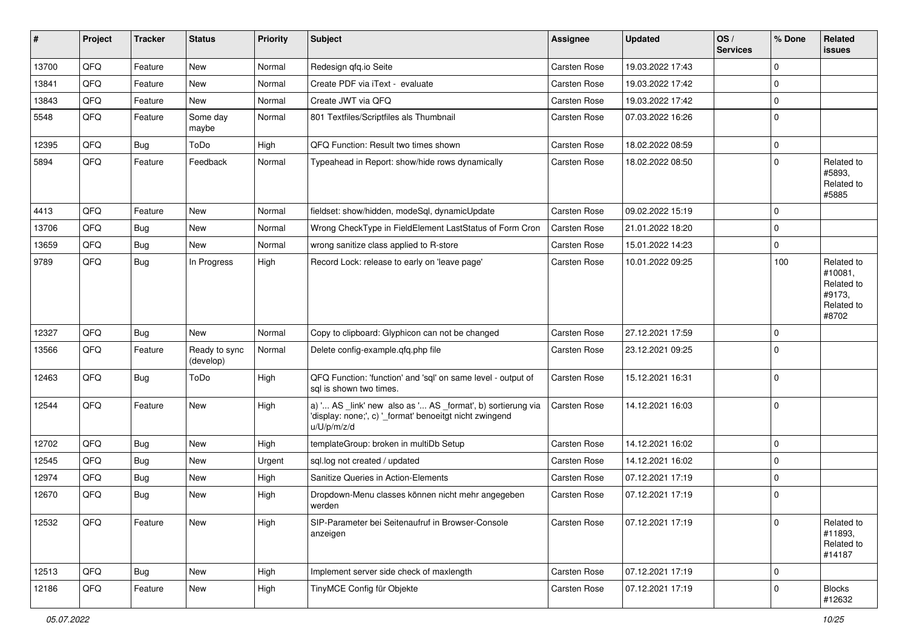| #     | Project | <b>Tracker</b> | <b>Status</b>              | <b>Priority</b> | <b>Subject</b>                                                                                                                        | <b>Assignee</b>     | <b>Updated</b>   | OS/<br><b>Services</b> | % Done         | Related<br>issues                                                    |
|-------|---------|----------------|----------------------------|-----------------|---------------------------------------------------------------------------------------------------------------------------------------|---------------------|------------------|------------------------|----------------|----------------------------------------------------------------------|
| 13700 | QFQ     | Feature        | New                        | Normal          | Redesign qfq.io Seite                                                                                                                 | Carsten Rose        | 19.03.2022 17:43 |                        | $\Omega$       |                                                                      |
| 13841 | QFQ     | Feature        | <b>New</b>                 | Normal          | Create PDF via iText - evaluate                                                                                                       | <b>Carsten Rose</b> | 19.03.2022 17:42 |                        | $\mathbf{0}$   |                                                                      |
| 13843 | QFQ     | Feature        | New                        | Normal          | Create JWT via QFQ                                                                                                                    | Carsten Rose        | 19.03.2022 17:42 |                        | $\mathbf{0}$   |                                                                      |
| 5548  | QFQ     | Feature        | Some day<br>maybe          | Normal          | 801 Textfiles/Scriptfiles als Thumbnail                                                                                               | <b>Carsten Rose</b> | 07.03.2022 16:26 |                        | $\overline{0}$ |                                                                      |
| 12395 | QFQ     | Bug            | ToDo                       | High            | QFQ Function: Result two times shown                                                                                                  | <b>Carsten Rose</b> | 18.02.2022 08:59 |                        | $\mathbf 0$    |                                                                      |
| 5894  | QFQ     | Feature        | Feedback                   | Normal          | Typeahead in Report: show/hide rows dynamically                                                                                       | <b>Carsten Rose</b> | 18.02.2022 08:50 |                        | $\Omega$       | Related to<br>#5893,<br>Related to<br>#5885                          |
| 4413  | QFQ     | Feature        | <b>New</b>                 | Normal          | fieldset: show/hidden, modeSql, dynamicUpdate                                                                                         | <b>Carsten Rose</b> | 09.02.2022 15:19 |                        | $\Omega$       |                                                                      |
| 13706 | QFQ     | Bug            | <b>New</b>                 | Normal          | Wrong CheckType in FieldElement LastStatus of Form Cron                                                                               | <b>Carsten Rose</b> | 21.01.2022 18:20 |                        | $\Omega$       |                                                                      |
| 13659 | QFQ     | Bug            | New                        | Normal          | wrong sanitize class applied to R-store                                                                                               | <b>Carsten Rose</b> | 15.01.2022 14:23 |                        | $\mathbf{0}$   |                                                                      |
| 9789  | QFQ     | Bug            | In Progress                | High            | Record Lock: release to early on 'leave page'                                                                                         | <b>Carsten Rose</b> | 10.01.2022 09:25 |                        | 100            | Related to<br>#10081.<br>Related to<br>#9173,<br>Related to<br>#8702 |
| 12327 | QFQ     | <b>Bug</b>     | <b>New</b>                 | Normal          | Copy to clipboard: Glyphicon can not be changed                                                                                       | <b>Carsten Rose</b> | 27.12.2021 17:59 |                        | $\mathbf{0}$   |                                                                      |
| 13566 | QFQ     | Feature        | Ready to sync<br>(develop) | Normal          | Delete config-example.qfq.php file                                                                                                    | Carsten Rose        | 23.12.2021 09:25 |                        | $\mathbf 0$    |                                                                      |
| 12463 | QFQ     | Bug            | ToDo                       | High            | QFQ Function: 'function' and 'sql' on same level - output of<br>sal is shown two times.                                               | <b>Carsten Rose</b> | 15.12.2021 16:31 |                        | $\overline{0}$ |                                                                      |
| 12544 | QFQ     | Feature        | New                        | High            | a) ' AS _link' new also as ' AS _format', b) sortierung via<br>'display: none;', c) '_format' benoeitgt nicht zwingend<br>u/U/p/m/z/d | <b>Carsten Rose</b> | 14.12.2021 16:03 |                        | $\overline{0}$ |                                                                      |
| 12702 | QFQ     | Bug            | <b>New</b>                 | High            | templateGroup: broken in multiDb Setup                                                                                                | <b>Carsten Rose</b> | 14.12.2021 16:02 |                        | $\mathbf{0}$   |                                                                      |
| 12545 | QFQ     | <b>Bug</b>     | New                        | Urgent          | sql.log not created / updated                                                                                                         | <b>Carsten Rose</b> | 14.12.2021 16:02 |                        | $\mathbf 0$    |                                                                      |
| 12974 | QFQ     | Bug            | New                        | High            | Sanitize Queries in Action-Elements                                                                                                   | Carsten Rose        | 07.12.2021 17:19 |                        | $\Omega$       |                                                                      |
| 12670 | QFQ     | Bug            | New                        | High            | Dropdown-Menu classes können nicht mehr angegeben<br>werden                                                                           | <b>Carsten Rose</b> | 07.12.2021 17:19 |                        | $\overline{0}$ |                                                                      |
| 12532 | QFO     | Feature        | <b>New</b>                 | High            | SIP-Parameter bei Seitenaufruf in Browser-Console<br>anzeigen                                                                         | Carsten Rose        | 07.12.2021 17:19 |                        | $\overline{0}$ | Related to<br>#11893,<br>Related to<br>#14187                        |
| 12513 | QFQ     | <b>Bug</b>     | New                        | High            | Implement server side check of maxlength                                                                                              | Carsten Rose        | 07.12.2021 17:19 |                        | $\mathbf{0}$   |                                                                      |
| 12186 | QFQ     | Feature        | New                        | High            | TinyMCE Config für Objekte                                                                                                            | Carsten Rose        | 07.12.2021 17:19 |                        | $\mathbf{0}$   | <b>Blocks</b><br>#12632                                              |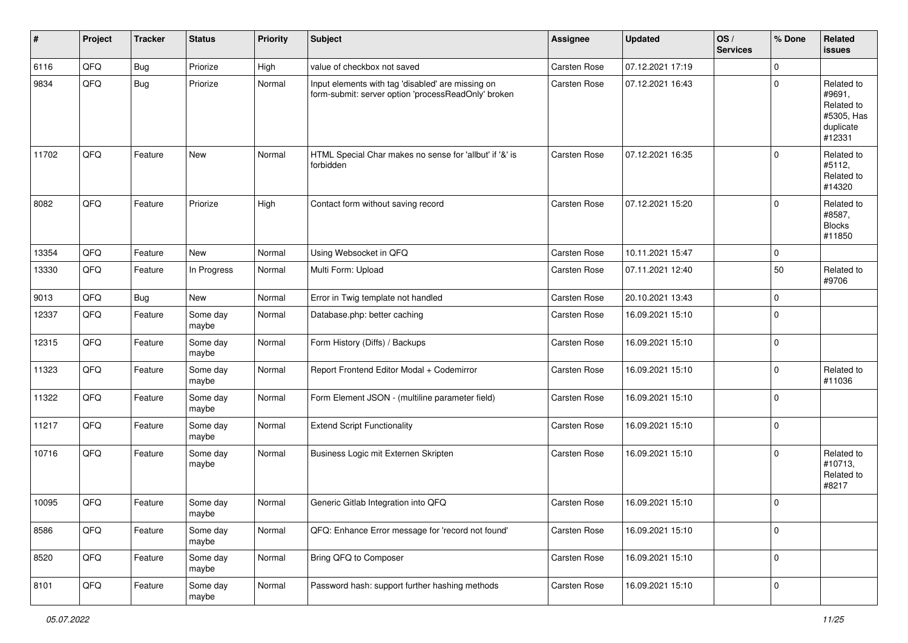| #     | Project | <b>Tracker</b> | <b>Status</b>     | <b>Priority</b> | <b>Subject</b>                                                                                           | Assignee            | Updated          | OS/<br><b>Services</b> | % Done         | Related<br>issues                                                       |
|-------|---------|----------------|-------------------|-----------------|----------------------------------------------------------------------------------------------------------|---------------------|------------------|------------------------|----------------|-------------------------------------------------------------------------|
| 6116  | QFQ     | Bug            | Priorize          | High            | value of checkbox not saved                                                                              | Carsten Rose        | 07.12.2021 17:19 |                        | $\mathbf 0$    |                                                                         |
| 9834  | QFQ     | <b>Bug</b>     | Priorize          | Normal          | Input elements with tag 'disabled' are missing on<br>form-submit: server option 'processReadOnly' broken | <b>Carsten Rose</b> | 07.12.2021 16:43 |                        | $\overline{0}$ | Related to<br>#9691,<br>Related to<br>#5305, Has<br>duplicate<br>#12331 |
| 11702 | QFQ     | Feature        | <b>New</b>        | Normal          | HTML Special Char makes no sense for 'allbut' if '&' is<br>forbidden                                     | <b>Carsten Rose</b> | 07.12.2021 16:35 |                        | $\overline{0}$ | Related to<br>#5112,<br>Related to<br>#14320                            |
| 8082  | QFQ     | Feature        | Priorize          | High            | Contact form without saving record                                                                       | <b>Carsten Rose</b> | 07.12.2021 15:20 |                        | $\overline{0}$ | Related to<br>#8587,<br><b>Blocks</b><br>#11850                         |
| 13354 | QFQ     | Feature        | <b>New</b>        | Normal          | Using Websocket in QFQ                                                                                   | <b>Carsten Rose</b> | 10.11.2021 15:47 |                        | $\mathbf 0$    |                                                                         |
| 13330 | QFQ     | Feature        | In Progress       | Normal          | Multi Form: Upload                                                                                       | Carsten Rose        | 07.11.2021 12:40 |                        | 50             | Related to<br>#9706                                                     |
| 9013  | QFQ     | Bug            | New               | Normal          | Error in Twig template not handled                                                                       | <b>Carsten Rose</b> | 20.10.2021 13:43 |                        | $\mathbf 0$    |                                                                         |
| 12337 | QFQ     | Feature        | Some day<br>maybe | Normal          | Database.php: better caching                                                                             | Carsten Rose        | 16.09.2021 15:10 |                        | $\overline{0}$ |                                                                         |
| 12315 | QFQ     | Feature        | Some day<br>maybe | Normal          | Form History (Diffs) / Backups                                                                           | <b>Carsten Rose</b> | 16.09.2021 15:10 |                        | $\overline{0}$ |                                                                         |
| 11323 | QFQ     | Feature        | Some day<br>maybe | Normal          | Report Frontend Editor Modal + Codemirror                                                                | <b>Carsten Rose</b> | 16.09.2021 15:10 |                        | $\mathbf 0$    | Related to<br>#11036                                                    |
| 11322 | QFQ     | Feature        | Some day<br>maybe | Normal          | Form Element JSON - (multiline parameter field)                                                          | Carsten Rose        | 16.09.2021 15:10 |                        | $\overline{0}$ |                                                                         |
| 11217 | QFQ     | Feature        | Some day<br>maybe | Normal          | <b>Extend Script Functionality</b>                                                                       | Carsten Rose        | 16.09.2021 15:10 |                        | $\overline{0}$ |                                                                         |
| 10716 | QFQ     | Feature        | Some day<br>maybe | Normal          | Business Logic mit Externen Skripten                                                                     | <b>Carsten Rose</b> | 16.09.2021 15:10 |                        | $\overline{0}$ | Related to<br>#10713,<br>Related to<br>#8217                            |
| 10095 | QFQ     | Feature        | Some day<br>maybe | Normal          | Generic Gitlab Integration into QFQ                                                                      | <b>Carsten Rose</b> | 16.09.2021 15:10 |                        | $\mathbf{0}$   |                                                                         |
| 8586  | QFQ     | Feature        | Some day<br>maybe | Normal          | QFQ: Enhance Error message for 'record not found'                                                        | Carsten Rose        | 16.09.2021 15:10 |                        | $\mathbf 0$    |                                                                         |
| 8520  | QFQ     | Feature        | Some day<br>maybe | Normal          | Bring QFQ to Composer                                                                                    | Carsten Rose        | 16.09.2021 15:10 |                        | $\mathbf 0$    |                                                                         |
| 8101  | QFQ     | Feature        | Some day<br>maybe | Normal          | Password hash: support further hashing methods                                                           | Carsten Rose        | 16.09.2021 15:10 |                        | $\mathbf 0$    |                                                                         |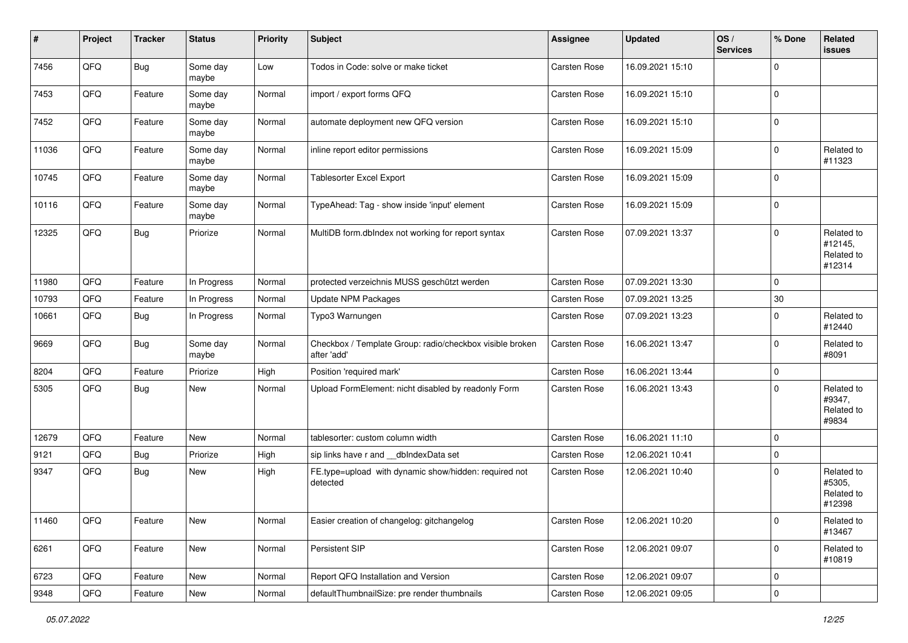| #     | Project | <b>Tracker</b> | <b>Status</b>     | <b>Priority</b> | Subject                                                                 | Assignee            | <b>Updated</b>   | OS/<br><b>Services</b> | % Done         | Related<br><b>issues</b>                      |
|-------|---------|----------------|-------------------|-----------------|-------------------------------------------------------------------------|---------------------|------------------|------------------------|----------------|-----------------------------------------------|
| 7456  | QFQ     | <b>Bug</b>     | Some day<br>maybe | Low             | Todos in Code: solve or make ticket                                     | Carsten Rose        | 16.09.2021 15:10 |                        | $\Omega$       |                                               |
| 7453  | QFQ     | Feature        | Some day<br>maybe | Normal          | import / export forms QFQ                                               | <b>Carsten Rose</b> | 16.09.2021 15:10 |                        | $\overline{0}$ |                                               |
| 7452  | QFQ     | Feature        | Some day<br>maybe | Normal          | automate deployment new QFQ version                                     | Carsten Rose        | 16.09.2021 15:10 |                        | $\Omega$       |                                               |
| 11036 | QFQ     | Feature        | Some day<br>maybe | Normal          | inline report editor permissions                                        | <b>Carsten Rose</b> | 16.09.2021 15:09 |                        | $\mathbf 0$    | Related to<br>#11323                          |
| 10745 | QFQ     | Feature        | Some day<br>maybe | Normal          | <b>Tablesorter Excel Export</b>                                         | <b>Carsten Rose</b> | 16.09.2021 15:09 |                        | $\overline{0}$ |                                               |
| 10116 | QFQ     | Feature        | Some day<br>maybe | Normal          | TypeAhead: Tag - show inside 'input' element                            | <b>Carsten Rose</b> | 16.09.2021 15:09 |                        | $\Omega$       |                                               |
| 12325 | QFO     | <b>Bug</b>     | Priorize          | Normal          | MultiDB form.dblndex not working for report syntax                      | <b>Carsten Rose</b> | 07.09.2021 13:37 |                        | $\Omega$       | Related to<br>#12145,<br>Related to<br>#12314 |
| 11980 | QFQ     | Feature        | In Progress       | Normal          | protected verzeichnis MUSS geschützt werden                             | Carsten Rose        | 07.09.2021 13:30 |                        | $\overline{0}$ |                                               |
| 10793 | QFQ     | Feature        | In Progress       | Normal          | Update NPM Packages                                                     | <b>Carsten Rose</b> | 07.09.2021 13:25 |                        | 30             |                                               |
| 10661 | QFQ     | Bug            | In Progress       | Normal          | Typo3 Warnungen                                                         | Carsten Rose        | 07.09.2021 13:23 |                        | $\Omega$       | Related to<br>#12440                          |
| 9669  | QFQ     | Bug            | Some day<br>maybe | Normal          | Checkbox / Template Group: radio/checkbox visible broken<br>after 'add' | Carsten Rose        | 16.06.2021 13:47 |                        | $\overline{0}$ | Related to<br>#8091                           |
| 8204  | QFQ     | Feature        | Priorize          | High            | Position 'required mark'                                                | Carsten Rose        | 16.06.2021 13:44 |                        | $\mathbf{0}$   |                                               |
| 5305  | QFQ     | Bug            | New               | Normal          | Upload FormElement: nicht disabled by readonly Form                     | Carsten Rose        | 16.06.2021 13:43 |                        | $\mathbf 0$    | Related to<br>#9347,<br>Related to<br>#9834   |
| 12679 | QFQ     | Feature        | New               | Normal          | tablesorter: custom column width                                        | Carsten Rose        | 16.06.2021 11:10 |                        | $\Omega$       |                                               |
| 9121  | QFQ     | Bug            | Priorize          | High            | sip links have r and __dbIndexData set                                  | <b>Carsten Rose</b> | 12.06.2021 10:41 |                        | $\mathbf{0}$   |                                               |
| 9347  | QFQ     | Bug            | New               | High            | FE.type=upload with dynamic show/hidden: required not<br>detected       | <b>Carsten Rose</b> | 12.06.2021 10:40 |                        | $\Omega$       | Related to<br>#5305,<br>Related to<br>#12398  |
| 11460 | QFQ     | Feature        | New               | Normal          | Easier creation of changelog: gitchangelog                              | <b>Carsten Rose</b> | 12.06.2021 10:20 |                        | $\overline{0}$ | Related to<br>#13467                          |
| 6261  | QFO     | Feature        | New               | Normal          | Persistent SIP                                                          | Carsten Rose        | 12.06.2021 09:07 |                        | $\mathbf 0$    | Related to<br>#10819                          |
| 6723  | QFQ     | Feature        | New               | Normal          | Report QFQ Installation and Version                                     | Carsten Rose        | 12.06.2021 09:07 |                        | $\overline{0}$ |                                               |
| 9348  | QFG     | Feature        | New               | Normal          | defaultThumbnailSize: pre render thumbnails                             | Carsten Rose        | 12.06.2021 09:05 |                        | $\overline{0}$ |                                               |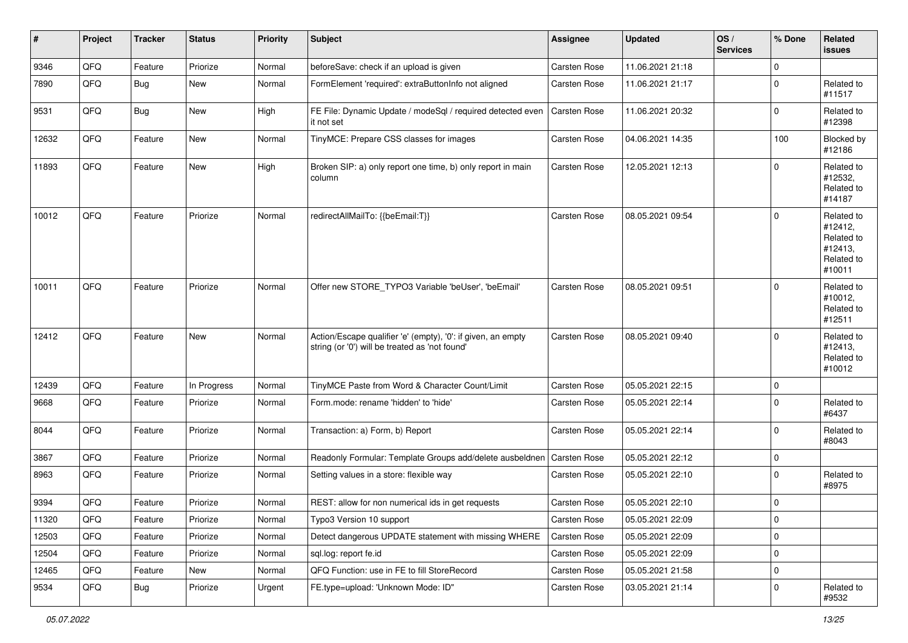| #     | Project | <b>Tracker</b> | <b>Status</b> | <b>Priority</b> | Subject                                                                                                        | <b>Assignee</b>     | <b>Updated</b>   | OS/<br><b>Services</b> | % Done         | Related<br>issues                                                      |
|-------|---------|----------------|---------------|-----------------|----------------------------------------------------------------------------------------------------------------|---------------------|------------------|------------------------|----------------|------------------------------------------------------------------------|
| 9346  | QFQ     | Feature        | Priorize      | Normal          | beforeSave: check if an upload is given                                                                        | Carsten Rose        | 11.06.2021 21:18 |                        | $\mathbf{0}$   |                                                                        |
| 7890  | QFQ     | <b>Bug</b>     | New           | Normal          | FormElement 'required': extraButtonInfo not aligned                                                            | <b>Carsten Rose</b> | 11.06.2021 21:17 |                        | $\mathbf 0$    | Related to<br>#11517                                                   |
| 9531  | QFQ     | Bug            | New           | High            | FE File: Dynamic Update / modeSql / required detected even<br>it not set                                       | <b>Carsten Rose</b> | 11.06.2021 20:32 |                        | $\mathbf 0$    | Related to<br>#12398                                                   |
| 12632 | QFQ     | Feature        | New           | Normal          | TinyMCE: Prepare CSS classes for images                                                                        | <b>Carsten Rose</b> | 04.06.2021 14:35 |                        | 100            | Blocked by<br>#12186                                                   |
| 11893 | QFQ     | Feature        | <b>New</b>    | High            | Broken SIP: a) only report one time, b) only report in main<br>column                                          | <b>Carsten Rose</b> | 12.05.2021 12:13 |                        | $\mathbf{0}$   | Related to<br>#12532,<br>Related to<br>#14187                          |
| 10012 | QFQ     | Feature        | Priorize      | Normal          | redirectAllMailTo: {{beEmail:T}}                                                                               | <b>Carsten Rose</b> | 08.05.2021 09:54 |                        | $\overline{0}$ | Related to<br>#12412,<br>Related to<br>#12413,<br>Related to<br>#10011 |
| 10011 | QFQ     | Feature        | Priorize      | Normal          | Offer new STORE_TYPO3 Variable 'beUser', 'beEmail'                                                             | <b>Carsten Rose</b> | 08.05.2021 09:51 |                        | $\mathbf{0}$   | Related to<br>#10012,<br>Related to<br>#12511                          |
| 12412 | QFQ     | Feature        | New           | Normal          | Action/Escape qualifier 'e' (empty), '0': if given, an empty<br>string (or '0') will be treated as 'not found' | <b>Carsten Rose</b> | 08.05.2021 09:40 |                        | $\overline{0}$ | Related to<br>#12413,<br>Related to<br>#10012                          |
| 12439 | QFQ     | Feature        | In Progress   | Normal          | TinyMCE Paste from Word & Character Count/Limit                                                                | <b>Carsten Rose</b> | 05.05.2021 22:15 |                        | $\mathbf 0$    |                                                                        |
| 9668  | QFQ     | Feature        | Priorize      | Normal          | Form.mode: rename 'hidden' to 'hide'                                                                           | <b>Carsten Rose</b> | 05.05.2021 22:14 |                        | $\mathbf{0}$   | Related to<br>#6437                                                    |
| 8044  | QFQ     | Feature        | Priorize      | Normal          | Transaction: a) Form, b) Report                                                                                | <b>Carsten Rose</b> | 05.05.2021 22:14 |                        | $\mathbf 0$    | Related to<br>#8043                                                    |
| 3867  | QFQ     | Feature        | Priorize      | Normal          | Readonly Formular: Template Groups add/delete ausbeldnen                                                       | <b>Carsten Rose</b> | 05.05.2021 22:12 |                        | $\mathbf 0$    |                                                                        |
| 8963  | QFQ     | Feature        | Priorize      | Normal          | Setting values in a store: flexible way                                                                        | <b>Carsten Rose</b> | 05.05.2021 22:10 |                        | $\mathbf{0}$   | Related to<br>#8975                                                    |
| 9394  | QFQ     | Feature        | Priorize      | Normal          | REST: allow for non numerical ids in get requests                                                              | <b>Carsten Rose</b> | 05.05.2021 22:10 |                        | $\mathbf 0$    |                                                                        |
| 11320 | QFQ     | Feature        | Priorize      | Normal          | Typo3 Version 10 support                                                                                       | Carsten Rose        | 05.05.2021 22:09 |                        | $\overline{0}$ |                                                                        |
| 12503 | QFQ     | Feature        | Priorize      | Normal          | Detect dangerous UPDATE statement with missing WHERE                                                           | Carsten Rose        | 05.05.2021 22:09 |                        | $\mathbf 0$    |                                                                        |
| 12504 | QFQ     | Feature        | Priorize      | Normal          | sql.log: report fe.id                                                                                          | Carsten Rose        | 05.05.2021 22:09 |                        | $\mathbf 0$    |                                                                        |
| 12465 | QFQ     | Feature        | New           | Normal          | QFQ Function: use in FE to fill StoreRecord                                                                    | Carsten Rose        | 05.05.2021 21:58 |                        | $\mathbf 0$    |                                                                        |
| 9534  | QFQ     | <b>Bug</b>     | Priorize      | Urgent          | FE.type=upload: 'Unknown Mode: ID"                                                                             | Carsten Rose        | 03.05.2021 21:14 |                        | $\mathbf 0$    | Related to<br>#9532                                                    |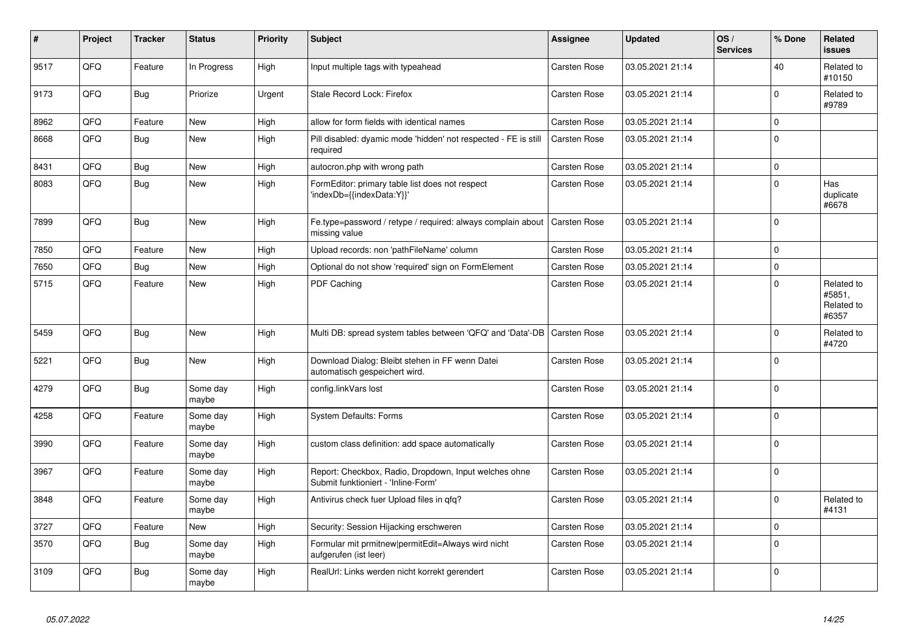| $\vert$ # | Project | <b>Tracker</b> | <b>Status</b>     | <b>Priority</b> | <b>Subject</b>                                                                               | Assignee            | <b>Updated</b>   | OS/<br><b>Services</b> | % Done         | Related<br><b>issues</b>                    |
|-----------|---------|----------------|-------------------|-----------------|----------------------------------------------------------------------------------------------|---------------------|------------------|------------------------|----------------|---------------------------------------------|
| 9517      | QFQ     | Feature        | In Progress       | High            | Input multiple tags with typeahead                                                           | <b>Carsten Rose</b> | 03.05.2021 21:14 |                        | 40             | Related to<br>#10150                        |
| 9173      | QFQ     | Bug            | Priorize          | Urgent          | Stale Record Lock: Firefox                                                                   | <b>Carsten Rose</b> | 03.05.2021 21:14 |                        | $\Omega$       | Related to<br>#9789                         |
| 8962      | QFQ     | Feature        | New               | High            | allow for form fields with identical names                                                   | <b>Carsten Rose</b> | 03.05.2021 21:14 |                        | $\Omega$       |                                             |
| 8668      | QFQ     | Bug            | New               | High            | Pill disabled: dyamic mode 'hidden' not respected - FE is still<br>required                  | <b>Carsten Rose</b> | 03.05.2021 21:14 |                        | $\Omega$       |                                             |
| 8431      | QFQ     | Bug            | New               | High            | autocron.php with wrong path                                                                 | Carsten Rose        | 03.05.2021 21:14 |                        | $\mathbf 0$    |                                             |
| 8083      | QFQ     | Bug            | New               | High            | FormEditor: primary table list does not respect<br>'indexDb={{indexData:Y}}'                 | Carsten Rose        | 03.05.2021 21:14 |                        | $\Omega$       | Has<br>duplicate<br>#6678                   |
| 7899      | QFQ     | Bug            | New               | High            | Fe.type=password / retype / required: always complain about<br>missing value                 | <b>Carsten Rose</b> | 03.05.2021 21:14 |                        | $\overline{0}$ |                                             |
| 7850      | QFQ     | Feature        | New               | High            | Upload records: non 'pathFileName' column                                                    | <b>Carsten Rose</b> | 03.05.2021 21:14 |                        | $\mathbf 0$    |                                             |
| 7650      | QFQ     | <b>Bug</b>     | New               | High            | Optional do not show 'required' sign on FormElement                                          | <b>Carsten Rose</b> | 03.05.2021 21:14 |                        | $\mathbf{0}$   |                                             |
| 5715      | QFQ     | Feature        | New               | High            | PDF Caching                                                                                  | <b>Carsten Rose</b> | 03.05.2021 21:14 |                        | $\Omega$       | Related to<br>#5851,<br>Related to<br>#6357 |
| 5459      | QFQ     | Bug            | <b>New</b>        | High            | Multi DB: spread system tables between 'QFQ' and 'Data'-DB                                   | <b>Carsten Rose</b> | 03.05.2021 21:14 |                        | $\Omega$       | Related to<br>#4720                         |
| 5221      | QFQ     | Bug            | New               | High            | Download Dialog: Bleibt stehen in FF wenn Datei<br>automatisch gespeichert wird.             | <b>Carsten Rose</b> | 03.05.2021 21:14 |                        | $\Omega$       |                                             |
| 4279      | QFQ     | Bug            | Some day<br>maybe | High            | config.linkVars lost                                                                         | <b>Carsten Rose</b> | 03.05.2021 21:14 |                        | $\mathbf 0$    |                                             |
| 4258      | QFQ     | Feature        | Some day<br>maybe | High            | <b>System Defaults: Forms</b>                                                                | Carsten Rose        | 03.05.2021 21:14 |                        | $\Omega$       |                                             |
| 3990      | QFQ     | Feature        | Some day<br>maybe | High            | custom class definition: add space automatically                                             | <b>Carsten Rose</b> | 03.05.2021 21:14 |                        | $\mathbf{0}$   |                                             |
| 3967      | QFQ     | Feature        | Some day<br>maybe | High            | Report: Checkbox, Radio, Dropdown, Input welches ohne<br>Submit funktioniert - 'Inline-Form' | <b>Carsten Rose</b> | 03.05.2021 21:14 |                        | $\Omega$       |                                             |
| 3848      | QFQ     | Feature        | Some day<br>maybe | High            | Antivirus check fuer Upload files in qfq?                                                    | <b>Carsten Rose</b> | 03.05.2021 21:14 |                        | $\mathbf{0}$   | Related to<br>#4131                         |
| 3727      | QFQ     | Feature        | New               | High            | Security: Session Hijacking erschweren                                                       | Carsten Rose        | 03.05.2021 21:14 |                        | $\Omega$       |                                             |
| 3570      | QFQ     | Bug            | Some day<br>maybe | High            | Formular mit prmitnew permitEdit=Always wird nicht<br>aufgerufen (ist leer)                  | <b>Carsten Rose</b> | 03.05.2021 21:14 |                        | $\Omega$       |                                             |
| 3109      | QFQ     | <b>Bug</b>     | Some day<br>maybe | High            | RealUrl: Links werden nicht korrekt gerendert                                                | <b>Carsten Rose</b> | 03.05.2021 21:14 |                        | $\Omega$       |                                             |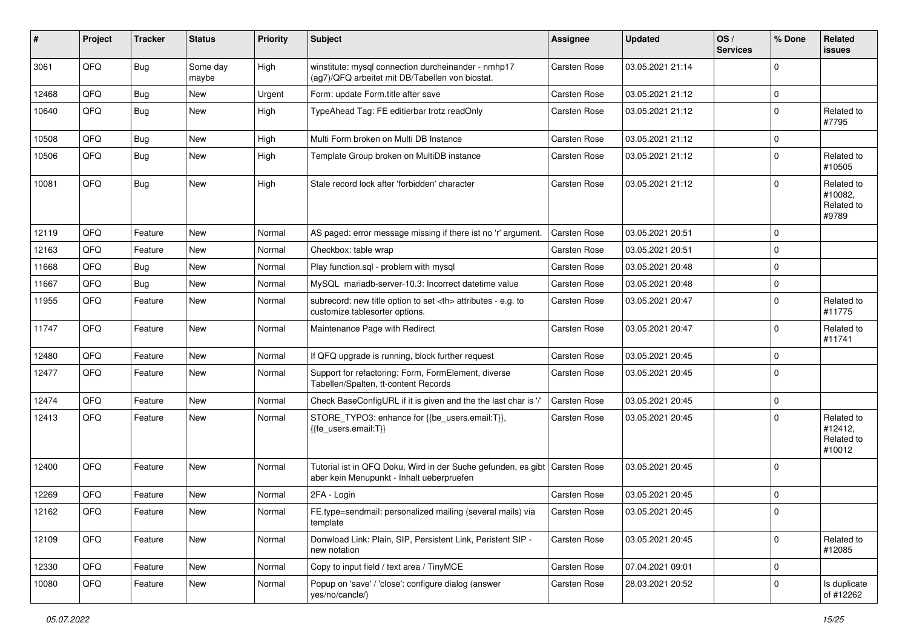| #     | Project | <b>Tracker</b> | <b>Status</b>     | <b>Priority</b> | <b>Subject</b>                                                                                                            | <b>Assignee</b>                                        | <b>Updated</b>   | OS/<br><b>Services</b> | % Done         | Related<br>issues                             |                      |
|-------|---------|----------------|-------------------|-----------------|---------------------------------------------------------------------------------------------------------------------------|--------------------------------------------------------|------------------|------------------------|----------------|-----------------------------------------------|----------------------|
| 3061  | QFQ     | <b>Bug</b>     | Some day<br>maybe | High            | winstitute: mysql connection durcheinander - nmhp17<br>(ag7)/QFQ arbeitet mit DB/Tabellen von biostat.                    | <b>Carsten Rose</b>                                    | 03.05.2021 21:14 |                        | $\mathbf 0$    |                                               |                      |
| 12468 | QFQ     | <b>Bug</b>     | New               | Urgent          | Form: update Form.title after save                                                                                        | <b>Carsten Rose</b>                                    | 03.05.2021 21:12 |                        | $\mathbf 0$    |                                               |                      |
| 10640 | QFQ     | <b>Bug</b>     | <b>New</b>        | High            | TypeAhead Tag: FE editierbar trotz readOnly                                                                               | <b>Carsten Rose</b>                                    | 03.05.2021 21:12 |                        | $\mathbf 0$    | Related to<br>#7795                           |                      |
| 10508 | QFQ     | <b>Bug</b>     | <b>New</b>        | High            | Multi Form broken on Multi DB Instance                                                                                    | <b>Carsten Rose</b>                                    | 03.05.2021 21:12 |                        | $\mathbf 0$    |                                               |                      |
| 10506 | QFQ     | Bug            | <b>New</b>        | High            | Template Group broken on MultiDB instance                                                                                 | <b>Carsten Rose</b>                                    | 03.05.2021 21:12 |                        | $\overline{0}$ | Related to<br>#10505                          |                      |
| 10081 | QFQ     | Bug            | <b>New</b>        | High            | Stale record lock after 'forbidden' character                                                                             | <b>Carsten Rose</b>                                    | 03.05.2021 21:12 |                        | $\overline{0}$ | Related to<br>#10082,<br>Related to<br>#9789  |                      |
| 12119 | QFQ     | Feature        | <b>New</b>        | Normal          | AS paged: error message missing if there ist no 'r' argument.                                                             | <b>Carsten Rose</b>                                    | 03.05.2021 20:51 |                        | $\mathbf{0}$   |                                               |                      |
| 12163 | QFQ     | Feature        | New               | Normal          | Checkbox: table wrap                                                                                                      | <b>Carsten Rose</b>                                    | 03.05.2021 20:51 |                        | $\overline{0}$ |                                               |                      |
| 11668 | QFQ     | <b>Bug</b>     | <b>New</b>        | Normal          | Play function.sgl - problem with mysgl                                                                                    | <b>Carsten Rose</b>                                    | 03.05.2021 20:48 |                        | $\mathbf 0$    |                                               |                      |
| 11667 | QFQ     | Bug            | <b>New</b>        | Normal          | MySQL mariadb-server-10.3: Incorrect datetime value                                                                       | <b>Carsten Rose</b>                                    | 03.05.2021 20:48 |                        | $\mathbf 0$    |                                               |                      |
| 11955 | QFQ     | Feature        | New               | Normal          | subrecord: new title option to set <th> attributes - e.g. to<br/>customize tablesorter options.</th>                      | attributes - e.g. to<br>customize tablesorter options. | Carsten Rose     | 03.05.2021 20:47       |                | $\overline{0}$                                | Related to<br>#11775 |
| 11747 | QFQ     | Feature        | <b>New</b>        | Normal          | Maintenance Page with Redirect                                                                                            | Carsten Rose                                           | 03.05.2021 20:47 |                        | $\mathbf{0}$   | Related to<br>#11741                          |                      |
| 12480 | QFQ     | Feature        | <b>New</b>        | Normal          | If QFQ upgrade is running, block further request                                                                          | <b>Carsten Rose</b>                                    | 03.05.2021 20:45 |                        | $\mathbf 0$    |                                               |                      |
| 12477 | QFQ     | Feature        | New               | Normal          | Support for refactoring: Form, FormElement, diverse<br>Tabellen/Spalten, tt-content Records                               | <b>Carsten Rose</b>                                    | 03.05.2021 20:45 |                        | $\overline{0}$ |                                               |                      |
| 12474 | QFQ     | Feature        | <b>New</b>        | Normal          | Check BaseConfigURL if it is given and the the last char is '/'                                                           | <b>Carsten Rose</b>                                    | 03.05.2021 20:45 |                        | $\mathbf 0$    |                                               |                      |
| 12413 | QFQ     | Feature        | New               | Normal          | STORE_TYPO3: enhance for {{be_users.email:T}},<br>{{fe_users.email:T}}                                                    | <b>Carsten Rose</b>                                    | 03.05.2021 20:45 |                        | $\overline{0}$ | Related to<br>#12412,<br>Related to<br>#10012 |                      |
| 12400 | QFQ     | Feature        | <b>New</b>        | Normal          | Tutorial ist in QFQ Doku, Wird in der Suche gefunden, es gibt   Carsten Rose<br>aber kein Menupunkt - Inhalt ueberpruefen |                                                        | 03.05.2021 20:45 |                        | $\mathbf{0}$   |                                               |                      |
| 12269 | QFQ     | Feature        | New               | Normal          | 2FA - Login                                                                                                               | <b>Carsten Rose</b>                                    | 03.05.2021 20:45 |                        | $\mathbf 0$    |                                               |                      |
| 12162 | QFQ     | Feature        | New               | Normal          | FE.type=sendmail: personalized mailing (several mails) via<br>template                                                    | Carsten Rose                                           | 03.05.2021 20:45 |                        | $\mathbf{0}$   |                                               |                      |
| 12109 | QFQ     | Feature        | New               | Normal          | Donwload Link: Plain, SIP, Persistent Link, Peristent SIP -<br>new notation                                               | Carsten Rose                                           | 03.05.2021 20:45 |                        | $\mathbf{0}$   | Related to<br>#12085                          |                      |
| 12330 | QFQ     | Feature        | <b>New</b>        | Normal          | Copy to input field / text area / TinyMCE                                                                                 | Carsten Rose                                           | 07.04.2021 09:01 |                        | $\mathbf 0$    |                                               |                      |
| 10080 | QFQ     | Feature        | New               | Normal          | Popup on 'save' / 'close': configure dialog (answer<br>yes/no/cancle/)                                                    | Carsten Rose                                           | 28.03.2021 20:52 |                        | $\mathbf 0$    | Is duplicate<br>of #12262                     |                      |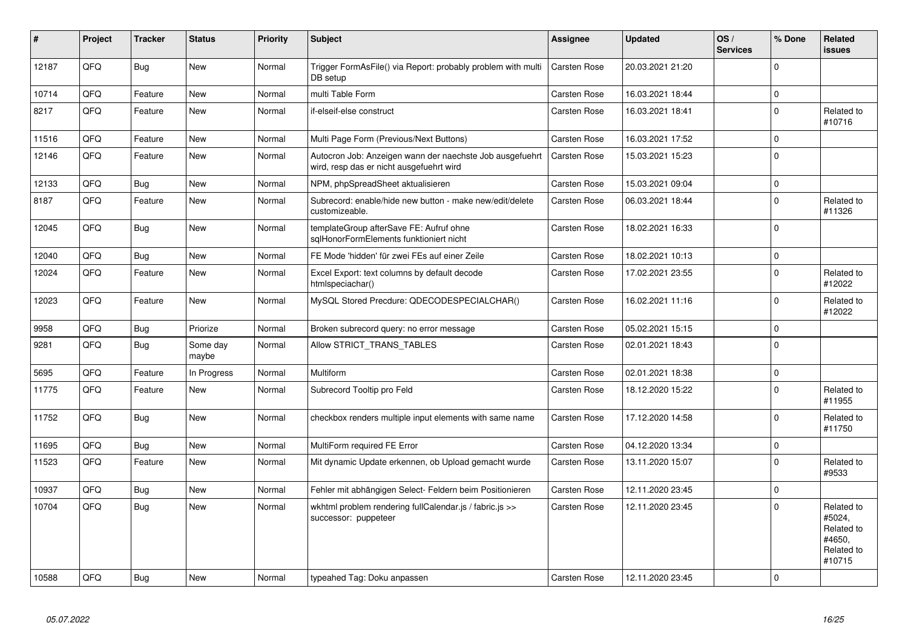| #     | Project | <b>Tracker</b> | <b>Status</b>     | <b>Priority</b> | <b>Subject</b>                                                                                       | Assignee            | <b>Updated</b>   | OS/<br><b>Services</b> | % Done         | Related<br>issues                                                    |
|-------|---------|----------------|-------------------|-----------------|------------------------------------------------------------------------------------------------------|---------------------|------------------|------------------------|----------------|----------------------------------------------------------------------|
| 12187 | QFQ     | <b>Bug</b>     | New               | Normal          | Trigger FormAsFile() via Report: probably problem with multi<br>DB setup                             | <b>Carsten Rose</b> | 20.03.2021 21:20 |                        | $\Omega$       |                                                                      |
| 10714 | QFQ     | Feature        | <b>New</b>        | Normal          | multi Table Form                                                                                     | Carsten Rose        | 16.03.2021 18:44 |                        | $\mathbf 0$    |                                                                      |
| 8217  | QFQ     | Feature        | <b>New</b>        | Normal          | if-elseif-else construct                                                                             | Carsten Rose        | 16.03.2021 18:41 |                        | $\Omega$       | Related to<br>#10716                                                 |
| 11516 | QFQ     | Feature        | <b>New</b>        | Normal          | Multi Page Form (Previous/Next Buttons)                                                              | Carsten Rose        | 16.03.2021 17:52 |                        | $\Omega$       |                                                                      |
| 12146 | QFQ     | Feature        | New               | Normal          | Autocron Job: Anzeigen wann der naechste Job ausgefuehrt<br>wird, resp das er nicht ausgefuehrt wird | <b>Carsten Rose</b> | 15.03.2021 15:23 |                        | $\overline{0}$ |                                                                      |
| 12133 | QFQ     | Bug            | <b>New</b>        | Normal          | NPM, phpSpreadSheet aktualisieren                                                                    | Carsten Rose        | 15.03.2021 09:04 |                        | $\Omega$       |                                                                      |
| 8187  | QFQ     | Feature        | <b>New</b>        | Normal          | Subrecord: enable/hide new button - make new/edit/delete<br>customizeable.                           | Carsten Rose        | 06.03.2021 18:44 |                        | $\overline{0}$ | Related to<br>#11326                                                 |
| 12045 | QFQ     | Bug            | New               | Normal          | templateGroup afterSave FE: Aufruf ohne<br>sqlHonorFormElements funktioniert nicht                   | Carsten Rose        | 18.02.2021 16:33 |                        | $\Omega$       |                                                                      |
| 12040 | QFQ     | Bug            | <b>New</b>        | Normal          | FE Mode 'hidden' für zwei FEs auf einer Zeile                                                        | Carsten Rose        | 18.02.2021 10:13 |                        | $\overline{0}$ |                                                                      |
| 12024 | QFQ     | Feature        | <b>New</b>        | Normal          | Excel Export: text columns by default decode<br>htmlspeciachar()                                     | Carsten Rose        | 17.02.2021 23:55 |                        | $\Omega$       | Related to<br>#12022                                                 |
| 12023 | QFQ     | Feature        | New               | Normal          | MySQL Stored Precdure: QDECODESPECIALCHAR()                                                          | Carsten Rose        | 16.02.2021 11:16 |                        | $\Omega$       | Related to<br>#12022                                                 |
| 9958  | QFQ     | Bug            | Priorize          | Normal          | Broken subrecord query: no error message                                                             | Carsten Rose        | 05.02.2021 15:15 |                        | $\mathbf 0$    |                                                                      |
| 9281  | QFQ     | <b>Bug</b>     | Some day<br>maybe | Normal          | Allow STRICT TRANS TABLES                                                                            | Carsten Rose        | 02.01.2021 18:43 |                        | $\Omega$       |                                                                      |
| 5695  | QFQ     | Feature        | In Progress       | Normal          | Multiform                                                                                            | Carsten Rose        | 02.01.2021 18:38 |                        | $\Omega$       |                                                                      |
| 11775 | QFQ     | Feature        | New               | Normal          | Subrecord Tooltip pro Feld                                                                           | Carsten Rose        | 18.12.2020 15:22 |                        | $\Omega$       | Related to<br>#11955                                                 |
| 11752 | QFQ     | <b>Bug</b>     | New               | Normal          | checkbox renders multiple input elements with same name                                              | Carsten Rose        | 17.12.2020 14:58 |                        | $\Omega$       | Related to<br>#11750                                                 |
| 11695 | QFQ     | Bug            | <b>New</b>        | Normal          | MultiForm required FE Error                                                                          | Carsten Rose        | 04.12.2020 13:34 |                        | $\mathbf{0}$   |                                                                      |
| 11523 | QFQ     | Feature        | New               | Normal          | Mit dynamic Update erkennen, ob Upload gemacht wurde                                                 | Carsten Rose        | 13.11.2020 15:07 |                        | $\Omega$       | Related to<br>#9533                                                  |
| 10937 | QFQ     | Bug            | <b>New</b>        | Normal          | Fehler mit abhängigen Select- Feldern beim Positionieren                                             | Carsten Rose        | 12.11.2020 23:45 |                        | $\Omega$       |                                                                      |
| 10704 | QFQ     | <b>Bug</b>     | New               | Normal          | wkhtml problem rendering fullCalendar.js / fabric.js >><br>successor: puppeteer                      | Carsten Rose        | 12.11.2020 23:45 |                        | $\Omega$       | Related to<br>#5024,<br>Related to<br>#4650.<br>Related to<br>#10715 |
| 10588 | QFQ     | Bug            | New               | Normal          | typeahed Tag: Doku anpassen                                                                          | <b>Carsten Rose</b> | 12.11.2020 23:45 |                        | $\mathbf{0}$   |                                                                      |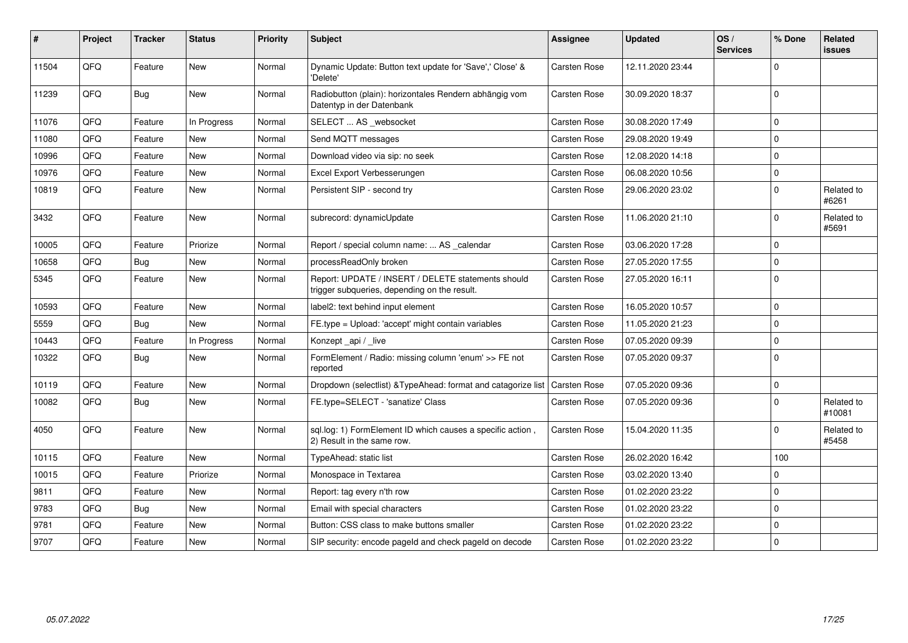| #     | Project | <b>Tracker</b> | <b>Status</b> | <b>Priority</b> | <b>Subject</b>                                                                                     | Assignee            | <b>Updated</b>   | OS/<br><b>Services</b> | % Done         | Related<br><b>issues</b> |
|-------|---------|----------------|---------------|-----------------|----------------------------------------------------------------------------------------------------|---------------------|------------------|------------------------|----------------|--------------------------|
| 11504 | QFQ     | Feature        | <b>New</b>    | Normal          | Dynamic Update: Button text update for 'Save',' Close' &<br>'Delete'                               | Carsten Rose        | 12.11.2020 23:44 |                        | $\Omega$       |                          |
| 11239 | QFQ     | <b>Bug</b>     | <b>New</b>    | Normal          | Radiobutton (plain): horizontales Rendern abhängig vom<br>Datentyp in der Datenbank                | Carsten Rose        | 30.09.2020 18:37 |                        | $\overline{0}$ |                          |
| 11076 | QFQ     | Feature        | In Progress   | Normal          | SELECT  AS _websocket                                                                              | Carsten Rose        | 30.08.2020 17:49 |                        | $\Omega$       |                          |
| 11080 | QFQ     | Feature        | New           | Normal          | Send MQTT messages                                                                                 | Carsten Rose        | 29.08.2020 19:49 |                        | $\Omega$       |                          |
| 10996 | QFQ     | Feature        | New           | Normal          | Download video via sip: no seek                                                                    | Carsten Rose        | 12.08.2020 14:18 |                        | $\Omega$       |                          |
| 10976 | QFQ     | Feature        | <b>New</b>    | Normal          | Excel Export Verbesserungen                                                                        | Carsten Rose        | 06.08.2020 10:56 |                        | $\Omega$       |                          |
| 10819 | QFQ     | Feature        | <b>New</b>    | Normal          | Persistent SIP - second try                                                                        | Carsten Rose        | 29.06.2020 23:02 |                        | $\Omega$       | Related to<br>#6261      |
| 3432  | QFQ     | Feature        | New           | Normal          | subrecord: dynamicUpdate                                                                           | Carsten Rose        | 11.06.2020 21:10 |                        | $\Omega$       | Related to<br>#5691      |
| 10005 | QFQ     | Feature        | Priorize      | Normal          | Report / special column name:  AS _calendar                                                        | <b>Carsten Rose</b> | 03.06.2020 17:28 |                        | $\Omega$       |                          |
| 10658 | QFQ     | Bug            | <b>New</b>    | Normal          | processReadOnly broken                                                                             | Carsten Rose        | 27.05.2020 17:55 |                        | $\mathbf{0}$   |                          |
| 5345  | QFQ     | Feature        | <b>New</b>    | Normal          | Report: UPDATE / INSERT / DELETE statements should<br>trigger subqueries, depending on the result. | Carsten Rose        | 27.05.2020 16:11 |                        | $\overline{0}$ |                          |
| 10593 | QFQ     | Feature        | <b>New</b>    | Normal          | label2: text behind input element                                                                  | <b>Carsten Rose</b> | 16.05.2020 10:57 |                        | $\Omega$       |                          |
| 5559  | QFQ     | Bug            | New           | Normal          | FE.type = Upload: 'accept' might contain variables                                                 | Carsten Rose        | 11.05.2020 21:23 |                        | $\Omega$       |                          |
| 10443 | QFQ     | Feature        | In Progress   | Normal          | Konzept_api / _live                                                                                | Carsten Rose        | 07.05.2020 09:39 |                        | $\Omega$       |                          |
| 10322 | QFQ     | Bug            | New           | Normal          | FormElement / Radio: missing column 'enum' >> FE not<br>reported                                   | Carsten Rose        | 07.05.2020 09:37 |                        | $\Omega$       |                          |
| 10119 | QFQ     | Feature        | <b>New</b>    | Normal          | Dropdown (selectlist) & TypeAhead: format and catagorize list                                      | <b>Carsten Rose</b> | 07.05.2020 09:36 |                        | $\mathbf 0$    |                          |
| 10082 | QFQ     | <b>Bug</b>     | New           | Normal          | FE.type=SELECT - 'sanatize' Class                                                                  | <b>Carsten Rose</b> | 07.05.2020 09:36 |                        | $\Omega$       | Related to<br>#10081     |
| 4050  | QFQ     | Feature        | <b>New</b>    | Normal          | sql.log: 1) FormElement ID which causes a specific action,<br>2) Result in the same row.           | <b>Carsten Rose</b> | 15.04.2020 11:35 |                        | $\Omega$       | Related to<br>#5458      |
| 10115 | QFQ     | Feature        | <b>New</b>    | Normal          | TypeAhead: static list                                                                             | Carsten Rose        | 26.02.2020 16:42 |                        | 100            |                          |
| 10015 | QFQ     | Feature        | Priorize      | Normal          | Monospace in Textarea                                                                              | Carsten Rose        | 03.02.2020 13:40 |                        | $\Omega$       |                          |
| 9811  | QFQ     | Feature        | New           | Normal          | Report: tag every n'th row                                                                         | Carsten Rose        | 01.02.2020 23:22 |                        | $\Omega$       |                          |
| 9783  | QFQ     | Bug            | <b>New</b>    | Normal          | Email with special characters                                                                      | <b>Carsten Rose</b> | 01.02.2020 23:22 |                        | $\Omega$       |                          |
| 9781  | QFQ     | Feature        | New           | Normal          | Button: CSS class to make buttons smaller                                                          | Carsten Rose        | 01.02.2020 23:22 |                        | $\Omega$       |                          |
| 9707  | QFQ     | Feature        | New           | Normal          | SIP security: encode pageld and check pageld on decode                                             | <b>Carsten Rose</b> | 01.02.2020 23:22 |                        | $\Omega$       |                          |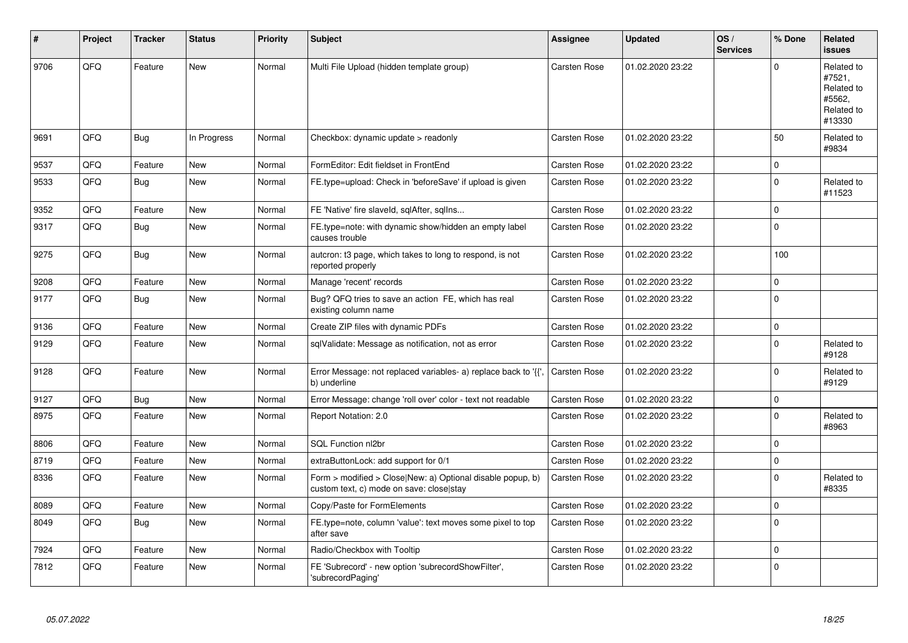| #    | Project | <b>Tracker</b> | <b>Status</b> | <b>Priority</b> | <b>Subject</b>                                                                                         | Assignee            | <b>Updated</b>   | OS/<br><b>Services</b> | % Done         | Related<br><b>issues</b>                                             |
|------|---------|----------------|---------------|-----------------|--------------------------------------------------------------------------------------------------------|---------------------|------------------|------------------------|----------------|----------------------------------------------------------------------|
| 9706 | QFQ     | Feature        | <b>New</b>    | Normal          | Multi File Upload (hidden template group)                                                              | Carsten Rose        | 01.02.2020 23:22 |                        | $\Omega$       | Related to<br>#7521,<br>Related to<br>#5562,<br>Related to<br>#13330 |
| 9691 | QFQ     | <b>Bug</b>     | In Progress   | Normal          | Checkbox: dynamic update > readonly                                                                    | <b>Carsten Rose</b> | 01.02.2020 23:22 |                        | 50             | Related to<br>#9834                                                  |
| 9537 | QFQ     | Feature        | <b>New</b>    | Normal          | FormEditor: Edit fieldset in FrontEnd                                                                  | <b>Carsten Rose</b> | 01.02.2020 23:22 |                        | $\mathbf{0}$   |                                                                      |
| 9533 | QFQ     | <b>Bug</b>     | <b>New</b>    | Normal          | FE.type=upload: Check in 'beforeSave' if upload is given                                               | Carsten Rose        | 01.02.2020 23:22 |                        | $\overline{0}$ | Related to<br>#11523                                                 |
| 9352 | QFQ     | Feature        | <b>New</b>    | Normal          | FE 'Native' fire slaveld, sqlAfter, sqlIns                                                             | Carsten Rose        | 01.02.2020 23:22 |                        | $\Omega$       |                                                                      |
| 9317 | QFQ     | <b>Bug</b>     | <b>New</b>    | Normal          | FE.type=note: with dynamic show/hidden an empty label<br>causes trouble                                | <b>Carsten Rose</b> | 01.02.2020 23:22 |                        | $\overline{0}$ |                                                                      |
| 9275 | QFQ     | Bug            | <b>New</b>    | Normal          | autcron: t3 page, which takes to long to respond, is not<br>reported properly                          | Carsten Rose        | 01.02.2020 23:22 |                        | 100            |                                                                      |
| 9208 | QFQ     | Feature        | New           | Normal          | Manage 'recent' records                                                                                | <b>Carsten Rose</b> | 01.02.2020 23:22 |                        | $\mathbf 0$    |                                                                      |
| 9177 | QFQ     | <b>Bug</b>     | <b>New</b>    | Normal          | Bug? QFQ tries to save an action FE, which has real<br>existing column name                            | <b>Carsten Rose</b> | 01.02.2020 23:22 |                        | $\overline{0}$ |                                                                      |
| 9136 | QFQ     | Feature        | <b>New</b>    | Normal          | Create ZIP files with dynamic PDFs                                                                     | Carsten Rose        | 01.02.2020 23:22 |                        | $\Omega$       |                                                                      |
| 9129 | QFQ     | Feature        | New           | Normal          | sqlValidate: Message as notification, not as error                                                     | Carsten Rose        | 01.02.2020 23:22 |                        | $\Omega$       | Related to<br>#9128                                                  |
| 9128 | QFQ     | Feature        | New           | Normal          | Error Message: not replaced variables- a) replace back to '{',<br>b) underline                         | <b>Carsten Rose</b> | 01.02.2020 23:22 |                        | $\mathbf{0}$   | Related to<br>#9129                                                  |
| 9127 | QFQ     | Bug            | <b>New</b>    | Normal          | Error Message: change 'roll over' color - text not readable                                            | Carsten Rose        | 01.02.2020 23:22 |                        | $\mathbf{0}$   |                                                                      |
| 8975 | QFQ     | Feature        | New           | Normal          | Report Notation: 2.0                                                                                   | Carsten Rose        | 01.02.2020 23:22 |                        | $\Omega$       | Related to<br>#8963                                                  |
| 8806 | QFQ     | Feature        | <b>New</b>    | Normal          | SQL Function nl2br                                                                                     | Carsten Rose        | 01.02.2020 23:22 |                        | $\Omega$       |                                                                      |
| 8719 | QFQ     | Feature        | New           | Normal          | extraButtonLock: add support for 0/1                                                                   | <b>Carsten Rose</b> | 01.02.2020 23:22 |                        | $\Omega$       |                                                                      |
| 8336 | QFQ     | Feature        | New           | Normal          | Form > modified > Close New: a) Optional disable popup, b)<br>custom text, c) mode on save: close stay | <b>Carsten Rose</b> | 01.02.2020 23:22 |                        | $\Omega$       | Related to<br>#8335                                                  |
| 8089 | QFQ     | Feature        | <b>New</b>    | Normal          | Copy/Paste for FormElements                                                                            | Carsten Rose        | 01.02.2020 23:22 |                        | $\Omega$       |                                                                      |
| 8049 | QFQ     | Bug            | New           | Normal          | FE.type=note, column 'value': text moves some pixel to top<br>after save                               | Carsten Rose        | 01.02.2020 23:22 |                        | $\overline{0}$ |                                                                      |
| 7924 | QFQ     | Feature        | <b>New</b>    | Normal          | Radio/Checkbox with Tooltip                                                                            | Carsten Rose        | 01.02.2020 23:22 |                        | $\Omega$       |                                                                      |
| 7812 | QFO     | Feature        | New           | Normal          | FE 'Subrecord' - new option 'subrecordShowFilter',<br>'subrecordPaging'                                | Carsten Rose        | 01.02.2020 23:22 |                        | $\overline{0}$ |                                                                      |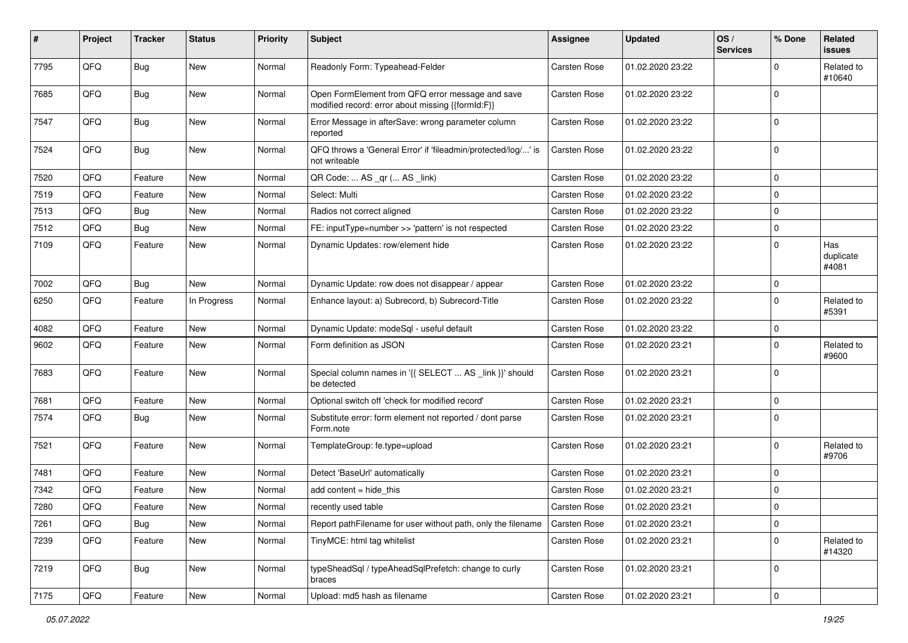| #    | Project | <b>Tracker</b> | <b>Status</b> | <b>Priority</b> | <b>Subject</b>                                                                                        | <b>Assignee</b>     | <b>Updated</b>   | OS/<br><b>Services</b> | % Done         | Related<br>issues         |
|------|---------|----------------|---------------|-----------------|-------------------------------------------------------------------------------------------------------|---------------------|------------------|------------------------|----------------|---------------------------|
| 7795 | QFQ     | <b>Bug</b>     | New           | Normal          | Readonly Form: Typeahead-Felder                                                                       | <b>Carsten Rose</b> | 01.02.2020 23:22 |                        | $\Omega$       | Related to<br>#10640      |
| 7685 | QFQ     | Bug            | New           | Normal          | Open FormElement from QFQ error message and save<br>modified record: error about missing {{formId:F}} | <b>Carsten Rose</b> | 01.02.2020 23:22 |                        | $\Omega$       |                           |
| 7547 | QFQ     | Bug            | <b>New</b>    | Normal          | Error Message in afterSave: wrong parameter column<br>reported                                        | Carsten Rose        | 01.02.2020 23:22 |                        | $\Omega$       |                           |
| 7524 | QFQ     | Bug            | New           | Normal          | QFQ throws a 'General Error' if 'fileadmin/protected/log/' is<br>not writeable                        | Carsten Rose        | 01.02.2020 23:22 |                        | $\mathbf 0$    |                           |
| 7520 | QFQ     | Feature        | <b>New</b>    | Normal          | QR Code:  AS _qr ( AS _link)                                                                          | <b>Carsten Rose</b> | 01.02.2020 23:22 |                        | $\mathbf 0$    |                           |
| 7519 | QFQ     | Feature        | <b>New</b>    | Normal          | Select: Multi                                                                                         | <b>Carsten Rose</b> | 01.02.2020 23:22 |                        | $\Omega$       |                           |
| 7513 | QFQ     | Bug            | <b>New</b>    | Normal          | Radios not correct aligned                                                                            | Carsten Rose        | 01.02.2020 23:22 |                        | $\mathbf 0$    |                           |
| 7512 | QFQ     | Bug            | New           | Normal          | FE: inputType=number >> 'pattern' is not respected                                                    | <b>Carsten Rose</b> | 01.02.2020 23:22 |                        | $\mathbf 0$    |                           |
| 7109 | QFQ     | Feature        | New           | Normal          | Dynamic Updates: row/element hide                                                                     | Carsten Rose        | 01.02.2020 23:22 |                        | $\Omega$       | Has<br>duplicate<br>#4081 |
| 7002 | QFQ     | <b>Bug</b>     | New           | Normal          | Dynamic Update: row does not disappear / appear                                                       | Carsten Rose        | 01.02.2020 23:22 |                        | $\mathbf 0$    |                           |
| 6250 | QFQ     | Feature        | In Progress   | Normal          | Enhance layout: a) Subrecord, b) Subrecord-Title                                                      | Carsten Rose        | 01.02.2020 23:22 |                        | $\Omega$       | Related to<br>#5391       |
| 4082 | QFQ     | Feature        | <b>New</b>    | Normal          | Dynamic Update: modeSql - useful default                                                              | Carsten Rose        | 01.02.2020 23:22 |                        | $\mathbf 0$    |                           |
| 9602 | QFQ     | Feature        | <b>New</b>    | Normal          | Form definition as JSON                                                                               | Carsten Rose        | 01.02.2020 23:21 |                        | $\Omega$       | Related to<br>#9600       |
| 7683 | QFQ     | Feature        | <b>New</b>    | Normal          | Special column names in '{{ SELECT  AS _link }}' should<br>be detected                                | Carsten Rose        | 01.02.2020 23:21 |                        | $\overline{0}$ |                           |
| 7681 | QFQ     | Feature        | <b>New</b>    | Normal          | Optional switch off 'check for modified record'                                                       | Carsten Rose        | 01.02.2020 23:21 |                        | $\mathbf 0$    |                           |
| 7574 | QFQ     | Bug            | <b>New</b>    | Normal          | Substitute error: form element not reported / dont parse<br>Form.note                                 | Carsten Rose        | 01.02.2020 23:21 |                        | $\Omega$       |                           |
| 7521 | QFQ     | Feature        | <b>New</b>    | Normal          | TemplateGroup: fe.type=upload                                                                         | Carsten Rose        | 01.02.2020 23:21 |                        | $\Omega$       | Related to<br>#9706       |
| 7481 | QFQ     | Feature        | New           | Normal          | Detect 'BaseUrl' automatically                                                                        | Carsten Rose        | 01.02.2020 23:21 |                        | $\mathbf 0$    |                           |
| 7342 | QFQ     | Feature        | <b>New</b>    | Normal          | add content $=$ hide this                                                                             | Carsten Rose        | 01.02.2020 23:21 |                        | $\mathbf 0$    |                           |
| 7280 | QFQ     | Feature        | <b>New</b>    | Normal          | recently used table                                                                                   | <b>Carsten Rose</b> | 01.02.2020 23:21 |                        | $\overline{0}$ |                           |
| 7261 | QFQ     | <b>Bug</b>     | New           | Normal          | Report pathFilename for user without path, only the filename                                          | Carsten Rose        | 01.02.2020 23:21 |                        | $\overline{0}$ |                           |
| 7239 | QFQ     | Feature        | New           | Normal          | TinyMCE: html tag whitelist                                                                           | Carsten Rose        | 01.02.2020 23:21 |                        | $\mathbf 0$    | Related to<br>#14320      |
| 7219 | QFQ     | <b>Bug</b>     | New           | Normal          | typeSheadSql / typeAheadSqlPrefetch: change to curly<br>braces                                        | Carsten Rose        | 01.02.2020 23:21 |                        | $\mathbf 0$    |                           |
| 7175 | QFQ     | Feature        | New           | Normal          | Upload: md5 hash as filename                                                                          | Carsten Rose        | 01.02.2020 23:21 |                        | $\overline{0}$ |                           |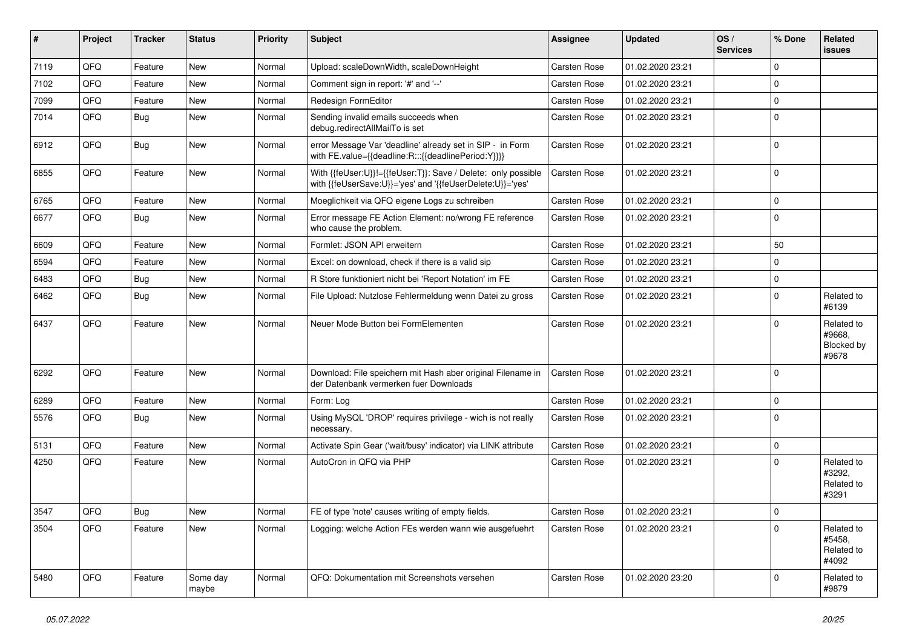| #    | <b>Project</b> | <b>Tracker</b> | <b>Status</b>     | <b>Priority</b> | <b>Subject</b>                                                                                                             | Assignee            | <b>Updated</b>   | OS/<br><b>Services</b> | % Done         | Related<br><b>issues</b>                    |
|------|----------------|----------------|-------------------|-----------------|----------------------------------------------------------------------------------------------------------------------------|---------------------|------------------|------------------------|----------------|---------------------------------------------|
| 7119 | QFQ            | Feature        | <b>New</b>        | Normal          | Upload: scaleDownWidth, scaleDownHeight                                                                                    | <b>Carsten Rose</b> | 01.02.2020 23:21 |                        | $\Omega$       |                                             |
| 7102 | QFQ            | Feature        | <b>New</b>        | Normal          | Comment sign in report: '#' and '--'                                                                                       | <b>Carsten Rose</b> | 01.02.2020 23:21 |                        | $\Omega$       |                                             |
| 7099 | QFQ            | Feature        | <b>New</b>        | Normal          | <b>Redesign FormEditor</b>                                                                                                 | <b>Carsten Rose</b> | 01.02.2020 23:21 |                        | $\mathbf 0$    |                                             |
| 7014 | QFQ            | <b>Bug</b>     | <b>New</b>        | Normal          | Sending invalid emails succeeds when<br>debug.redirectAllMailTo is set                                                     | <b>Carsten Rose</b> | 01.02.2020 23:21 |                        | $\overline{0}$ |                                             |
| 6912 | QFQ            | Bug            | New               | Normal          | error Message Var 'deadline' already set in SIP - in Form<br>with FE.value={{deadline:R:::{{deadlinePeriod:Y}}}}           | Carsten Rose        | 01.02.2020 23:21 |                        | $\Omega$       |                                             |
| 6855 | QFQ            | Feature        | <b>New</b>        | Normal          | With {{feUser:U}}!={{feUser:T}}: Save / Delete: only possible<br>with {{feUserSave:U}}='yes' and '{{feUserDelete:U}}='yes' | Carsten Rose        | 01.02.2020 23:21 |                        | $\Omega$       |                                             |
| 6765 | QFQ            | Feature        | <b>New</b>        | Normal          | Moeglichkeit via QFQ eigene Logs zu schreiben                                                                              | <b>Carsten Rose</b> | 01.02.2020 23:21 |                        | $\mathbf{0}$   |                                             |
| 6677 | QFQ            | Bug            | <b>New</b>        | Normal          | Error message FE Action Element: no/wrong FE reference<br>who cause the problem.                                           | <b>Carsten Rose</b> | 01.02.2020 23:21 |                        | $\overline{0}$ |                                             |
| 6609 | QFQ            | Feature        | <b>New</b>        | Normal          | Formlet: JSON API erweitern                                                                                                | <b>Carsten Rose</b> | 01.02.2020 23:21 |                        | 50             |                                             |
| 6594 | QFQ            | Feature        | <b>New</b>        | Normal          | Excel: on download, check if there is a valid sip                                                                          | Carsten Rose        | 01.02.2020 23:21 |                        | $\Omega$       |                                             |
| 6483 | QFQ            | <b>Bug</b>     | New               | Normal          | R Store funktioniert nicht bei 'Report Notation' im FE                                                                     | Carsten Rose        | 01.02.2020 23:21 |                        | $\Omega$       |                                             |
| 6462 | QFQ            | <b>Bug</b>     | New               | Normal          | File Upload: Nutzlose Fehlermeldung wenn Datei zu gross                                                                    | Carsten Rose        | 01.02.2020 23:21 |                        | $\Omega$       | Related to<br>#6139                         |
| 6437 | QFQ            | Feature        | <b>New</b>        | Normal          | Neuer Mode Button bei FormElementen                                                                                        | <b>Carsten Rose</b> | 01.02.2020 23:21 |                        | $\overline{0}$ | Related to<br>#9668,<br>Blocked by<br>#9678 |
| 6292 | QFQ            | Feature        | <b>New</b>        | Normal          | Download: File speichern mit Hash aber original Filename in<br>der Datenbank vermerken fuer Downloads                      | Carsten Rose        | 01.02.2020 23:21 |                        | $\Omega$       |                                             |
| 6289 | QFQ            | Feature        | <b>New</b>        | Normal          | Form: Log                                                                                                                  | <b>Carsten Rose</b> | 01.02.2020 23:21 |                        | $\Omega$       |                                             |
| 5576 | QFQ            | <b>Bug</b>     | <b>New</b>        | Normal          | Using MySQL 'DROP' requires privilege - wich is not really<br>necessary.                                                   | Carsten Rose        | 01.02.2020 23:21 |                        | $\overline{0}$ |                                             |
| 5131 | QFQ            | Feature        | <b>New</b>        | Normal          | Activate Spin Gear ('wait/busy' indicator) via LINK attribute                                                              | <b>Carsten Rose</b> | 01.02.2020 23:21 |                        | $\Omega$       |                                             |
| 4250 | QFQ            | Feature        | New               | Normal          | AutoCron in QFQ via PHP                                                                                                    | <b>Carsten Rose</b> | 01.02.2020 23:21 |                        | $\Omega$       | Related to<br>#3292,<br>Related to<br>#3291 |
| 3547 | QFQ            | <b>Bug</b>     | <b>New</b>        | Normal          | FE of type 'note' causes writing of empty fields.                                                                          | <b>Carsten Rose</b> | 01.02.2020 23:21 |                        | $\overline{0}$ |                                             |
| 3504 | QFQ            | Feature        | New               | Normal          | Logging: welche Action FEs werden wann wie ausgefuehrt                                                                     | <b>Carsten Rose</b> | 01.02.2020 23:21 |                        | $\Omega$       | Related to<br>#5458,<br>Related to<br>#4092 |
| 5480 | QFQ            | Feature        | Some day<br>maybe | Normal          | QFQ: Dokumentation mit Screenshots versehen                                                                                | <b>Carsten Rose</b> | 01.02.2020 23:20 |                        | $\Omega$       | Related to<br>#9879                         |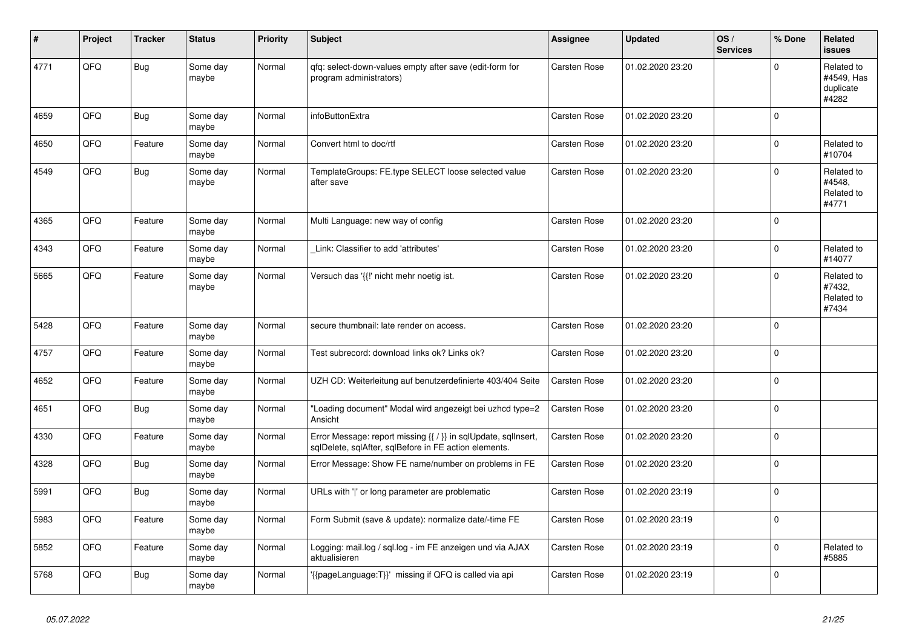| #    | Project | <b>Tracker</b> | <b>Status</b>     | <b>Priority</b> | <b>Subject</b>                                                                                                          | Assignee            | <b>Updated</b>   | OS/<br><b>Services</b> | % Done      | <b>Related</b><br>issues                       |
|------|---------|----------------|-------------------|-----------------|-------------------------------------------------------------------------------------------------------------------------|---------------------|------------------|------------------------|-------------|------------------------------------------------|
| 4771 | QFQ     | Bug            | Some day<br>maybe | Normal          | gfg: select-down-values empty after save (edit-form for<br>program administrators)                                      | <b>Carsten Rose</b> | 01.02.2020 23:20 |                        | $\Omega$    | Related to<br>#4549, Has<br>duplicate<br>#4282 |
| 4659 | QFQ     | Bug            | Some day<br>maybe | Normal          | infoButtonExtra                                                                                                         | <b>Carsten Rose</b> | 01.02.2020 23:20 |                        | $\mathbf 0$ |                                                |
| 4650 | QFQ     | Feature        | Some day<br>maybe | Normal          | Convert html to doc/rtf                                                                                                 | Carsten Rose        | 01.02.2020 23:20 |                        | $\mathbf 0$ | Related to<br>#10704                           |
| 4549 | QFQ     | Bug            | Some day<br>maybe | Normal          | TemplateGroups: FE.type SELECT loose selected value<br>after save                                                       | Carsten Rose        | 01.02.2020 23:20 |                        | $\Omega$    | Related to<br>#4548,<br>Related to<br>#4771    |
| 4365 | QFQ     | Feature        | Some day<br>maybe | Normal          | Multi Language: new way of config                                                                                       | <b>Carsten Rose</b> | 01.02.2020 23:20 |                        | $\mathbf 0$ |                                                |
| 4343 | QFQ     | Feature        | Some day<br>maybe | Normal          | Link: Classifier to add 'attributes'                                                                                    | Carsten Rose        | 01.02.2020 23:20 |                        | $\Omega$    | Related to<br>#14077                           |
| 5665 | QFQ     | Feature        | Some day<br>maybe | Normal          | Versuch das '{{!' nicht mehr noetig ist.                                                                                | Carsten Rose        | 01.02.2020 23:20 |                        | $\Omega$    | Related to<br>#7432,<br>Related to<br>#7434    |
| 5428 | QFQ     | Feature        | Some day<br>maybe | Normal          | secure thumbnail: late render on access.                                                                                | Carsten Rose        | 01.02.2020 23:20 |                        | $\Omega$    |                                                |
| 4757 | QFQ     | Feature        | Some day<br>maybe | Normal          | Test subrecord: download links ok? Links ok?                                                                            | Carsten Rose        | 01.02.2020 23:20 |                        | $\Omega$    |                                                |
| 4652 | QFQ     | Feature        | Some day<br>maybe | Normal          | UZH CD: Weiterleitung auf benutzerdefinierte 403/404 Seite                                                              | Carsten Rose        | 01.02.2020 23:20 |                        | $\mathbf 0$ |                                                |
| 4651 | QFQ     | <b>Bug</b>     | Some day<br>maybe | Normal          | "Loading document" Modal wird angezeigt bei uzhcd type=2<br>Ansicht                                                     | <b>Carsten Rose</b> | 01.02.2020 23:20 |                        | $\mathbf 0$ |                                                |
| 4330 | QFQ     | Feature        | Some day<br>maybe | Normal          | Error Message: report missing {{ / }} in sqlUpdate, sqlInsert,<br>sqlDelete, sqlAfter, sqlBefore in FE action elements. | <b>Carsten Rose</b> | 01.02.2020 23:20 |                        | $\mathbf 0$ |                                                |
| 4328 | QFQ     | <b>Bug</b>     | Some day<br>maybe | Normal          | Error Message: Show FE name/number on problems in FE                                                                    | Carsten Rose        | 01.02.2020 23:20 |                        | $\mathbf 0$ |                                                |
| 5991 | QFQ     | Bug            | Some day<br>maybe | Normal          | URLs with ' ' or long parameter are problematic                                                                         | Carsten Rose        | 01.02.2020 23:19 |                        | $\mathbf 0$ |                                                |
| 5983 | QFQ     | Feature        | Some day<br>maybe | Normal          | Form Submit (save & update): normalize date/-time FE                                                                    | <b>Carsten Rose</b> | 01.02.2020 23:19 |                        | $\mathbf 0$ |                                                |
| 5852 | QFQ     | Feature        | Some day<br>maybe | Normal          | Logging: mail.log / sql.log - im FE anzeigen und via AJAX<br>aktualisieren                                              | Carsten Rose        | 01.02.2020 23:19 |                        | $\mathbf 0$ | Related to<br>#5885                            |
| 5768 | QFQ     | Bug            | Some day<br>maybe | Normal          | {{pageLanguage:T}}' missing if QFQ is called via api                                                                    | Carsten Rose        | 01.02.2020 23:19 |                        | $\mathbf 0$ |                                                |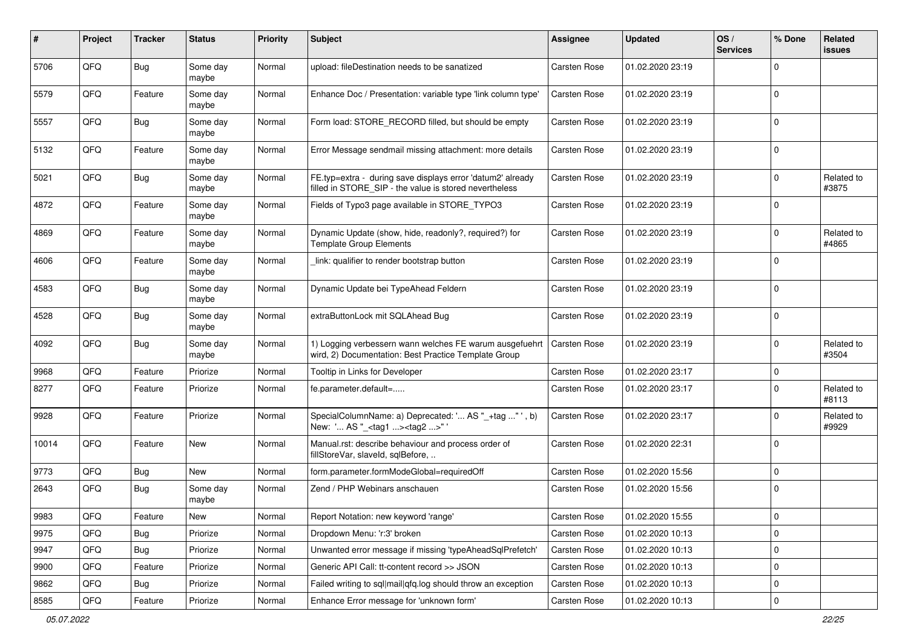| #     | Project | <b>Tracker</b> | <b>Status</b>     | <b>Priority</b> | <b>Subject</b>                                                                                                       | <b>Assignee</b>     | <b>Updated</b>   | OS/<br><b>Services</b> | % Done         | Related<br>issues   |
|-------|---------|----------------|-------------------|-----------------|----------------------------------------------------------------------------------------------------------------------|---------------------|------------------|------------------------|----------------|---------------------|
| 5706  | QFQ     | <b>Bug</b>     | Some day<br>maybe | Normal          | upload: fileDestination needs to be sanatized                                                                        | <b>Carsten Rose</b> | 01.02.2020 23:19 |                        | $\Omega$       |                     |
| 5579  | QFQ     | Feature        | Some day<br>maybe | Normal          | Enhance Doc / Presentation: variable type 'link column type'                                                         | <b>Carsten Rose</b> | 01.02.2020 23:19 |                        | 0              |                     |
| 5557  | QFQ     | Bug            | Some day<br>maybe | Normal          | Form load: STORE_RECORD filled, but should be empty                                                                  | <b>Carsten Rose</b> | 01.02.2020 23:19 |                        | $\Omega$       |                     |
| 5132  | QFQ     | Feature        | Some day<br>maybe | Normal          | Error Message sendmail missing attachment: more details                                                              | <b>Carsten Rose</b> | 01.02.2020 23:19 |                        | $\mathbf 0$    |                     |
| 5021  | QFQ     | <b>Bug</b>     | Some day<br>maybe | Normal          | FE.typ=extra - during save displays error 'datum2' already<br>filled in STORE_SIP - the value is stored nevertheless | <b>Carsten Rose</b> | 01.02.2020 23:19 |                        | $\mathbf 0$    | Related to<br>#3875 |
| 4872  | QFQ     | Feature        | Some day<br>maybe | Normal          | Fields of Typo3 page available in STORE_TYPO3                                                                        | Carsten Rose        | 01.02.2020 23:19 |                        | $\Omega$       |                     |
| 4869  | QFQ     | Feature        | Some day<br>maybe | Normal          | Dynamic Update (show, hide, readonly?, required?) for<br><b>Template Group Elements</b>                              | <b>Carsten Rose</b> | 01.02.2020 23:19 |                        | $\Omega$       | Related to<br>#4865 |
| 4606  | QFQ     | Feature        | Some day<br>maybe | Normal          | link: qualifier to render bootstrap button                                                                           | <b>Carsten Rose</b> | 01.02.2020 23:19 |                        | $\Omega$       |                     |
| 4583  | QFQ     | Bug            | Some day<br>maybe | Normal          | Dynamic Update bei TypeAhead Feldern                                                                                 | <b>Carsten Rose</b> | 01.02.2020 23:19 |                        | 0              |                     |
| 4528  | QFQ     | Bug            | Some day<br>maybe | Normal          | extraButtonLock mit SQLAhead Bug                                                                                     | Carsten Rose        | 01.02.2020 23:19 |                        | $\Omega$       |                     |
| 4092  | QFQ     | <b>Bug</b>     | Some day<br>maybe | Normal          | 1) Logging verbessern wann welches FE warum ausgefuehrt<br>wird, 2) Documentation: Best Practice Template Group      | <b>Carsten Rose</b> | 01.02.2020 23:19 |                        | 0              | Related to<br>#3504 |
| 9968  | QFQ     | Feature        | Priorize          | Normal          | Tooltip in Links for Developer                                                                                       | <b>Carsten Rose</b> | 01.02.2020 23:17 |                        | $\mathbf 0$    |                     |
| 8277  | QFQ     | Feature        | Priorize          | Normal          | fe.parameter.default=                                                                                                | <b>Carsten Rose</b> | 01.02.2020 23:17 |                        | $\Omega$       | Related to<br>#8113 |
| 9928  | QFQ     | Feature        | Priorize          | Normal          | SpecialColumnName: a) Deprecated: ' AS "_+tag " ', b)<br>New: ' AS "_ <tag1><tag2>"'</tag2></tag1>                   | <b>Carsten Rose</b> | 01.02.2020 23:17 |                        | $\Omega$       | Related to<br>#9929 |
| 10014 | QFQ     | Feature        | New               | Normal          | Manual.rst: describe behaviour and process order of<br>fillStoreVar, slaveId, sqlBefore,                             | Carsten Rose        | 01.02.2020 22:31 |                        | 0              |                     |
| 9773  | QFQ     | <b>Bug</b>     | New               | Normal          | form.parameter.formModeGlobal=requiredOff                                                                            | <b>Carsten Rose</b> | 01.02.2020 15:56 |                        | $\mathbf 0$    |                     |
| 2643  | QFQ     | Bug            | Some day<br>maybe | Normal          | Zend / PHP Webinars anschauen                                                                                        | <b>Carsten Rose</b> | 01.02.2020 15:56 |                        | $\overline{0}$ |                     |
| 9983  | QFG     | Feature        | New               | Normal          | Report Notation: new keyword 'range'                                                                                 | Carsten Rose        | 01.02.2020 15:55 |                        | U              |                     |
| 9975  | QFQ     | Bug            | Priorize          | Normal          | Dropdown Menu: 'r:3' broken                                                                                          | Carsten Rose        | 01.02.2020 10:13 |                        | $\overline{0}$ |                     |
| 9947  | QFQ     | <b>Bug</b>     | Priorize          | Normal          | Unwanted error message if missing 'typeAheadSqlPrefetch'                                                             | Carsten Rose        | 01.02.2020 10:13 |                        | 0              |                     |
| 9900  | QFQ     | Feature        | Priorize          | Normal          | Generic API Call: tt-content record >> JSON                                                                          | Carsten Rose        | 01.02.2020 10:13 |                        | $\overline{0}$ |                     |
| 9862  | QFQ     | <b>Bug</b>     | Priorize          | Normal          | Failed writing to sql mail qfq.log should throw an exception                                                         | Carsten Rose        | 01.02.2020 10:13 |                        | 0              |                     |
| 8585  | QFQ     | Feature        | Priorize          | Normal          | Enhance Error message for 'unknown form'                                                                             | Carsten Rose        | 01.02.2020 10:13 |                        | $\mathbf 0$    |                     |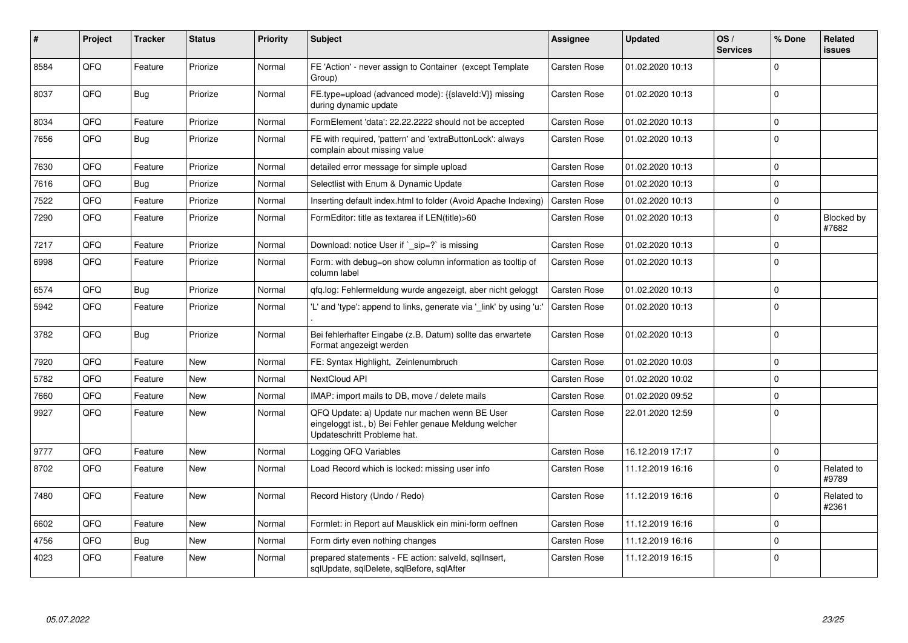| ∦    | Project | <b>Tracker</b> | <b>Status</b> | <b>Priority</b> | <b>Subject</b>                                                                                                                        | Assignee            | <b>Updated</b>   | OS/<br><b>Services</b> | % Done         | <b>Related</b><br>issues |
|------|---------|----------------|---------------|-----------------|---------------------------------------------------------------------------------------------------------------------------------------|---------------------|------------------|------------------------|----------------|--------------------------|
| 8584 | QFQ     | Feature        | Priorize      | Normal          | FE 'Action' - never assign to Container (except Template<br>Group)                                                                    | Carsten Rose        | 01.02.2020 10:13 |                        | $\Omega$       |                          |
| 8037 | QFQ     | Bug            | Priorize      | Normal          | FE.type=upload (advanced mode): {{slaveld:V}} missing<br>during dynamic update                                                        | Carsten Rose        | 01.02.2020 10:13 |                        | $\Omega$       |                          |
| 8034 | QFQ     | Feature        | Priorize      | Normal          | FormElement 'data': 22.22.2222 should not be accepted                                                                                 | Carsten Rose        | 01.02.2020 10:13 |                        | $\Omega$       |                          |
| 7656 | QFQ     | <b>Bug</b>     | Priorize      | Normal          | FE with required, 'pattern' and 'extraButtonLock': always<br>complain about missing value                                             | <b>Carsten Rose</b> | 01.02.2020 10:13 |                        | $\Omega$       |                          |
| 7630 | QFQ     | Feature        | Priorize      | Normal          | detailed error message for simple upload                                                                                              | Carsten Rose        | 01.02.2020 10:13 |                        | $\Omega$       |                          |
| 7616 | QFQ     | Bug            | Priorize      | Normal          | Selectlist with Enum & Dynamic Update                                                                                                 | Carsten Rose        | 01.02.2020 10:13 |                        | $\Omega$       |                          |
| 7522 | QFQ     | Feature        | Priorize      | Normal          | Inserting default index.html to folder (Avoid Apache Indexing)                                                                        | <b>Carsten Rose</b> | 01.02.2020 10:13 |                        | $\Omega$       |                          |
| 7290 | QFQ     | Feature        | Priorize      | Normal          | FormEditor: title as textarea if LEN(title)>60                                                                                        | Carsten Rose        | 01.02.2020 10:13 |                        | $\Omega$       | Blocked by<br>#7682      |
| 7217 | QFQ     | Feature        | Priorize      | Normal          | Download: notice User if `_sip=?` is missing                                                                                          | Carsten Rose        | 01.02.2020 10:13 |                        | $\Omega$       |                          |
| 6998 | QFQ     | Feature        | Priorize      | Normal          | Form: with debug=on show column information as tooltip of<br>column label                                                             | Carsten Rose        | 01.02.2020 10:13 |                        | $\Omega$       |                          |
| 6574 | QFQ     | Bug            | Priorize      | Normal          | qfq.log: Fehlermeldung wurde angezeigt, aber nicht geloggt                                                                            | <b>Carsten Rose</b> | 01.02.2020 10:13 |                        | $\Omega$       |                          |
| 5942 | QFQ     | Feature        | Priorize      | Normal          | 'L' and 'type': append to links, generate via 'link' by using 'u:'                                                                    | <b>Carsten Rose</b> | 01.02.2020 10:13 |                        | $\Omega$       |                          |
| 3782 | QFQ     | <b>Bug</b>     | Priorize      | Normal          | Bei fehlerhafter Eingabe (z.B. Datum) sollte das erwartete<br>Format angezeigt werden                                                 | Carsten Rose        | 01.02.2020 10:13 |                        | $\Omega$       |                          |
| 7920 | QFQ     | Feature        | <b>New</b>    | Normal          | FE: Syntax Highlight, Zeinlenumbruch                                                                                                  | Carsten Rose        | 01.02.2020 10:03 |                        | $\Omega$       |                          |
| 5782 | QFQ     | Feature        | <b>New</b>    | Normal          | <b>NextCloud API</b>                                                                                                                  | Carsten Rose        | 01.02.2020 10:02 |                        | $\Omega$       |                          |
| 7660 | QFQ     | Feature        | <b>New</b>    | Normal          | IMAP: import mails to DB, move / delete mails                                                                                         | <b>Carsten Rose</b> | 01.02.2020 09:52 |                        | $\Omega$       |                          |
| 9927 | QFQ     | Feature        | <b>New</b>    | Normal          | QFQ Update: a) Update nur machen wenn BE User<br>eingeloggt ist., b) Bei Fehler genaue Meldung welcher<br>Updateschritt Probleme hat. | Carsten Rose        | 22.01.2020 12:59 |                        | $\Omega$       |                          |
| 9777 | QFQ     | Feature        | <b>New</b>    | Normal          | Logging QFQ Variables                                                                                                                 | Carsten Rose        | 16.12.2019 17:17 |                        | $\overline{0}$ |                          |
| 8702 | QFQ     | Feature        | <b>New</b>    | Normal          | Load Record which is locked: missing user info                                                                                        | Carsten Rose        | 11.12.2019 16:16 |                        | $\Omega$       | Related to<br>#9789      |
| 7480 | QFQ     | Feature        | New           | Normal          | Record History (Undo / Redo)                                                                                                          | Carsten Rose        | 11.12.2019 16:16 |                        | $\Omega$       | Related to<br>#2361      |
| 6602 | QFQ     | Feature        | <b>New</b>    | Normal          | Formlet: in Report auf Mausklick ein mini-form oeffnen                                                                                | Carsten Rose        | 11.12.2019 16:16 |                        | $\Omega$       |                          |
| 4756 | QFQ     | Bug            | <b>New</b>    | Normal          | Form dirty even nothing changes                                                                                                       | Carsten Rose        | 11.12.2019 16:16 |                        | $\Omega$       |                          |
| 4023 | QFQ     | Feature        | <b>New</b>    | Normal          | prepared statements - FE action: salveld, sqllnsert,<br>sqlUpdate, sqlDelete, sqlBefore, sqlAfter                                     | Carsten Rose        | 11.12.2019 16:15 |                        | $\Omega$       |                          |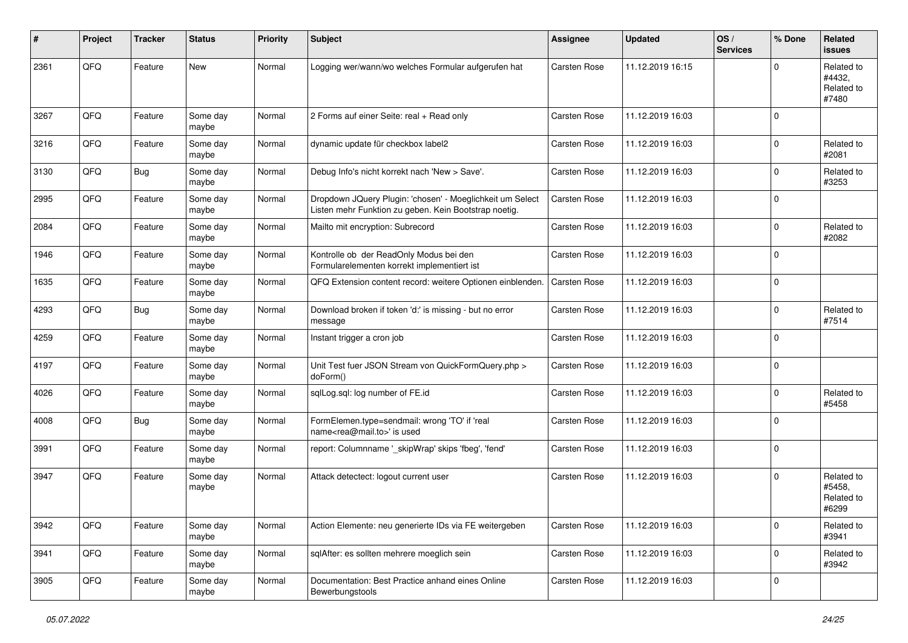| #    | Project | <b>Tracker</b> | <b>Status</b>     | <b>Priority</b> | <b>Subject</b>                                                                                                     | <b>Assignee</b>     | <b>Updated</b>   | OS/<br><b>Services</b> | % Done         | Related<br><b>issues</b>                    |
|------|---------|----------------|-------------------|-----------------|--------------------------------------------------------------------------------------------------------------------|---------------------|------------------|------------------------|----------------|---------------------------------------------|
| 2361 | QFQ     | Feature        | <b>New</b>        | Normal          | Logging wer/wann/wo welches Formular aufgerufen hat                                                                | <b>Carsten Rose</b> | 11.12.2019 16:15 |                        | $\Omega$       | Related to<br>#4432,<br>Related to<br>#7480 |
| 3267 | QFQ     | Feature        | Some day<br>maybe | Normal          | 2 Forms auf einer Seite: real + Read only                                                                          | <b>Carsten Rose</b> | 11.12.2019 16:03 |                        | $\Omega$       |                                             |
| 3216 | QFQ     | Feature        | Some day<br>maybe | Normal          | dynamic update für checkbox label2                                                                                 | <b>Carsten Rose</b> | 11.12.2019 16:03 |                        | $\Omega$       | Related to<br>#2081                         |
| 3130 | QFQ     | Bug            | Some day<br>maybe | Normal          | Debug Info's nicht korrekt nach 'New > Save'.                                                                      | <b>Carsten Rose</b> | 11.12.2019 16:03 |                        | $\Omega$       | Related to<br>#3253                         |
| 2995 | QFQ     | Feature        | Some day<br>maybe | Normal          | Dropdown JQuery Plugin: 'chosen' - Moeglichkeit um Select<br>Listen mehr Funktion zu geben. Kein Bootstrap noetig. | Carsten Rose        | 11.12.2019 16:03 |                        | $\Omega$       |                                             |
| 2084 | QFQ     | Feature        | Some day<br>maybe | Normal          | Mailto mit encryption: Subrecord                                                                                   | <b>Carsten Rose</b> | 11.12.2019 16:03 |                        | $\Omega$       | Related to<br>#2082                         |
| 1946 | QFQ     | Feature        | Some day<br>maybe | Normal          | Kontrolle ob der ReadOnly Modus bei den<br>Formularelementen korrekt implementiert ist                             | <b>Carsten Rose</b> | 11.12.2019 16:03 |                        | $\Omega$       |                                             |
| 1635 | QFQ     | Feature        | Some day<br>maybe | Normal          | QFQ Extension content record: weitere Optionen einblenden.                                                         | Carsten Rose        | 11.12.2019 16:03 |                        | $\Omega$       |                                             |
| 4293 | QFQ     | Bug            | Some day<br>maybe | Normal          | Download broken if token 'd:' is missing - but no error<br>message                                                 | <b>Carsten Rose</b> | 11.12.2019 16:03 |                        | $\Omega$       | Related to<br>#7514                         |
| 4259 | QFQ     | Feature        | Some day<br>maybe | Normal          | Instant trigger a cron job                                                                                         | <b>Carsten Rose</b> | 11.12.2019 16:03 |                        | $\Omega$       |                                             |
| 4197 | QFQ     | Feature        | Some day<br>maybe | Normal          | Unit Test fuer JSON Stream von QuickFormQuery.php ><br>doForm()                                                    | <b>Carsten Rose</b> | 11.12.2019 16:03 |                        | $\overline{0}$ |                                             |
| 4026 | QFQ     | Feature        | Some day<br>maybe | Normal          | sqlLog.sql: log number of FE.id                                                                                    | <b>Carsten Rose</b> | 11.12.2019 16:03 |                        | $\Omega$       | Related to<br>#5458                         |
| 4008 | QFQ     | Bug            | Some day<br>maybe | Normal          | FormElemen.type=sendmail: wrong 'TO' if 'real<br>name <rea@mail.to>' is used</rea@mail.to>                         | <b>Carsten Rose</b> | 11.12.2019 16:03 |                        | $\Omega$       |                                             |
| 3991 | QFQ     | Feature        | Some day<br>maybe | Normal          | report: Columnname '_skipWrap' skips 'fbeg', 'fend'                                                                | <b>Carsten Rose</b> | 11.12.2019 16:03 |                        | $\Omega$       |                                             |
| 3947 | QFQ     | Feature        | Some day<br>maybe | Normal          | Attack detectect: logout current user                                                                              | <b>Carsten Rose</b> | 11.12.2019 16:03 |                        | $\Omega$       | Related to<br>#5458,<br>Related to<br>#6299 |
| 3942 | QFQ     | Feature        | Some day<br>maybe | Normal          | Action Elemente: neu generierte IDs via FE weitergeben                                                             | Carsten Rose        | 11.12.2019 16:03 |                        | $\mathbf 0$    | Related to<br>#3941                         |
| 3941 | QFQ     | Feature        | Some day<br>maybe | Normal          | sqlAfter: es sollten mehrere moeglich sein                                                                         | Carsten Rose        | 11.12.2019 16:03 |                        | $\mathbf 0$    | Related to<br>#3942                         |
| 3905 | QFQ     | Feature        | Some day<br>maybe | Normal          | Documentation: Best Practice anhand eines Online<br>Bewerbungstools                                                | Carsten Rose        | 11.12.2019 16:03 |                        | $\mathbf 0$    |                                             |